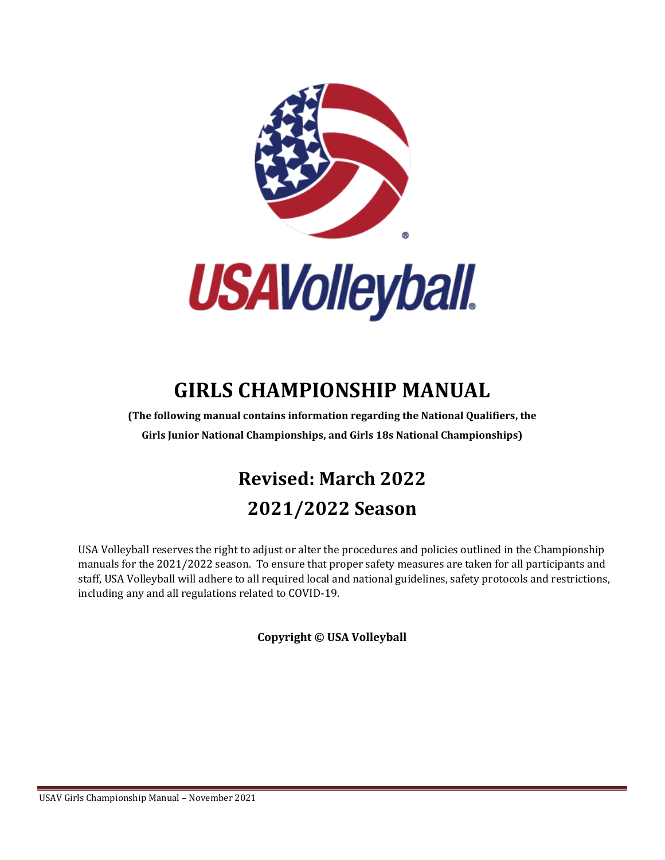



# **GIRLS CHAMPIONSHIP MANUAL**

**(The following manual contains information regarding the National Qualifiers, the Girls Junior National Championships, and Girls 18s National Championships)**

# **Revised: March 2022 2021/2022 Season**

USA Volleyball reserves the right to adjust or alter the procedures and policies outlined in the Championship manuals for the 2021/2022 season. To ensure that proper safety measures are taken for all participants and staff, USA Volleyball will adhere to all required local and national guidelines, safety protocols and restrictions, including any and all regulations related to COVID-19.

**Copyright © USA Volleyball**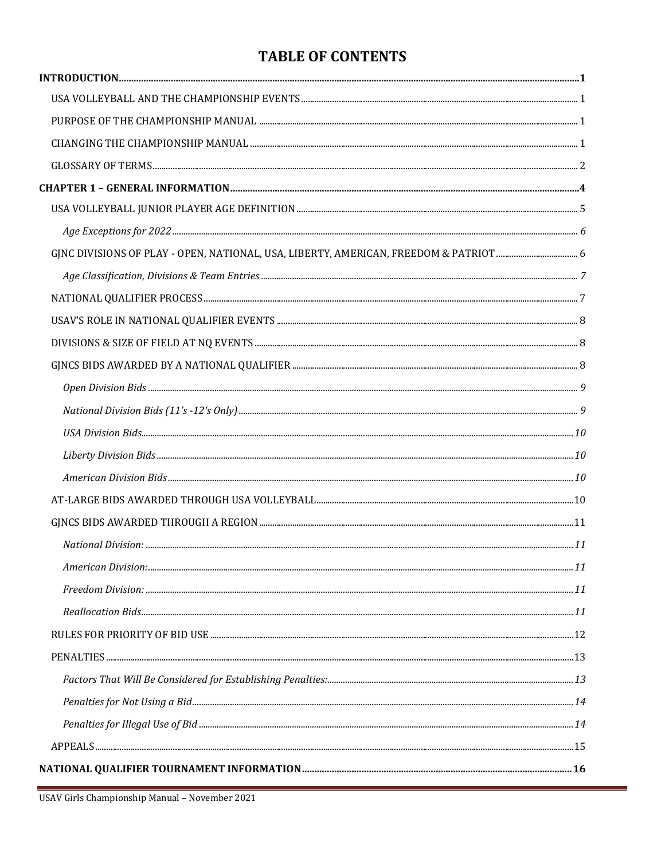### **TABLE OF CONTENTS**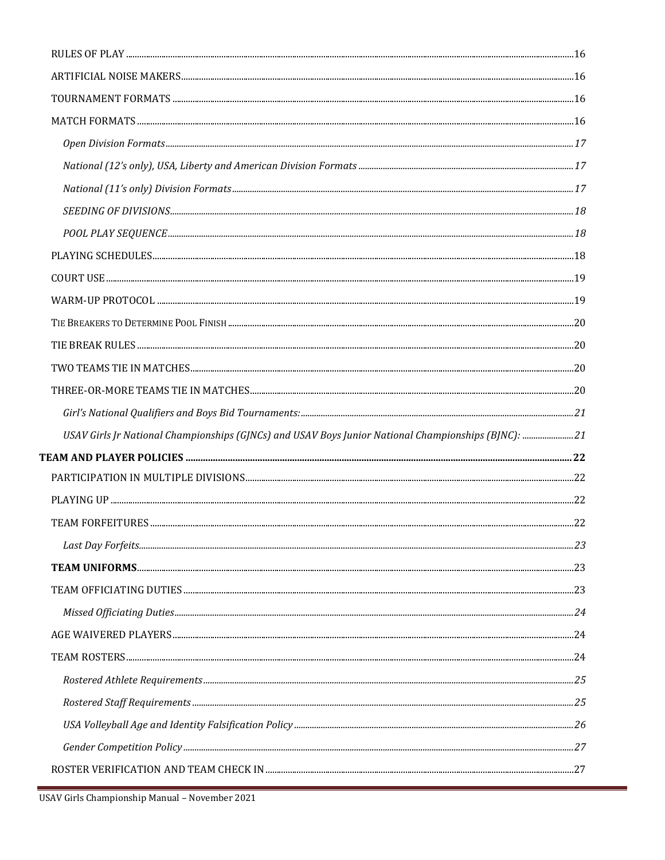| USAV Girls Jr National Championships (GJNCs) and USAV Boys Junior National Championships (BJNC): 21 |  |
|-----------------------------------------------------------------------------------------------------|--|
|                                                                                                     |  |
|                                                                                                     |  |
|                                                                                                     |  |
|                                                                                                     |  |
|                                                                                                     |  |
|                                                                                                     |  |
|                                                                                                     |  |
|                                                                                                     |  |
|                                                                                                     |  |
|                                                                                                     |  |
|                                                                                                     |  |
|                                                                                                     |  |
|                                                                                                     |  |
|                                                                                                     |  |
|                                                                                                     |  |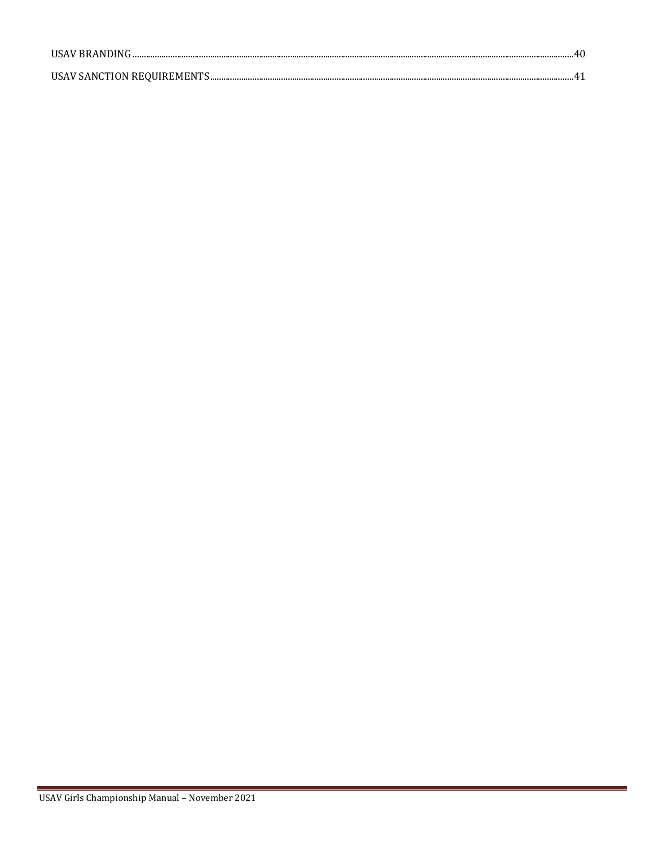| USAV BRANDING. |  |
|----------------|--|
|                |  |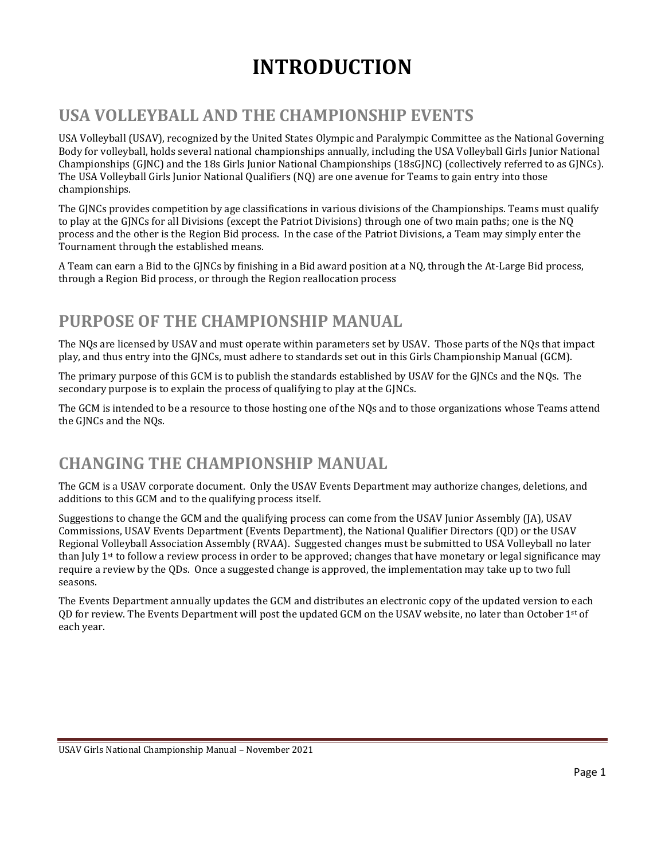# **INTRODUCTION**

# <span id="page-5-1"></span><span id="page-5-0"></span>**USA VOLLEYBALL AND THE CHAMPIONSHIP EVENTS**

USA Volleyball (USAV), recognized by the United States Olympic and Paralympic Committee as the National Governing Body for volleyball, holds several national championships annually, including the USA Volleyball Girls Junior National Championships (GJNC) and the 18s Girls Junior National Championships (18sGJNC) (collectively referred to as GJNCs). The USA Volleyball Girls Junior National Qualifiers (NQ) are one avenue for Teams to gain entry into those championships.

The GJNCs provides competition by age classifications in various divisions of the Championships. Teams must qualify to play at the GJNCs for all Divisions (except the Patriot Divisions) through one of two main paths; one is the NQ process and the other is the Region Bid process. In the case of the Patriot Divisions, a Team may simply enter the Tournament through the established means.

A Team can earn a Bid to the GJNCs by finishing in a Bid award position at a NQ, through the At-Large Bid process, through a Region Bid process, or through the Region reallocation process

# <span id="page-5-2"></span>**PURPOSE OF THE CHAMPIONSHIP MANUAL**

The NQs are licensed by USAV and must operate within parameters set by USAV. Those parts of the NQs that impact play, and thus entry into the GJNCs, must adhere to standards set out in this Girls Championship Manual (GCM).

The primary purpose of this GCM is to publish the standards established by USAV for the GJNCs and the NQs. The secondary purpose is to explain the process of qualifying to play at the GJNCs.

The GCM is intended to be a resource to those hosting one of the NQs and to those organizations whose Teams attend the GJNCs and the NQs.

# <span id="page-5-3"></span>**CHANGING THE CHAMPIONSHIP MANUAL**

The GCM is a USAV corporate document. Only the USAV Events Department may authorize changes, deletions, and additions to this GCM and to the qualifying process itself.

Suggestions to change the GCM and the qualifying process can come from the USAV Junior Assembly (JA), USAV Commissions, USAV Events Department (Events Department), the National Qualifier Directors (QD) or the USAV Regional Volleyball Association Assembly (RVAA). Suggested changes must be submitted to USA Volleyball no later than July 1<sup>st</sup> to follow a review process in order to be approved; changes that have monetary or legal significance may require a review by the QDs. Once a suggested change is approved, the implementation may take up to two full seasons.

The Events Department annually updates the GCM and distributes an electronic copy of the updated version to each OD for review. The Events Department will post the updated GCM on the USAV website, no later than October  $1<sup>st</sup>$  of each year.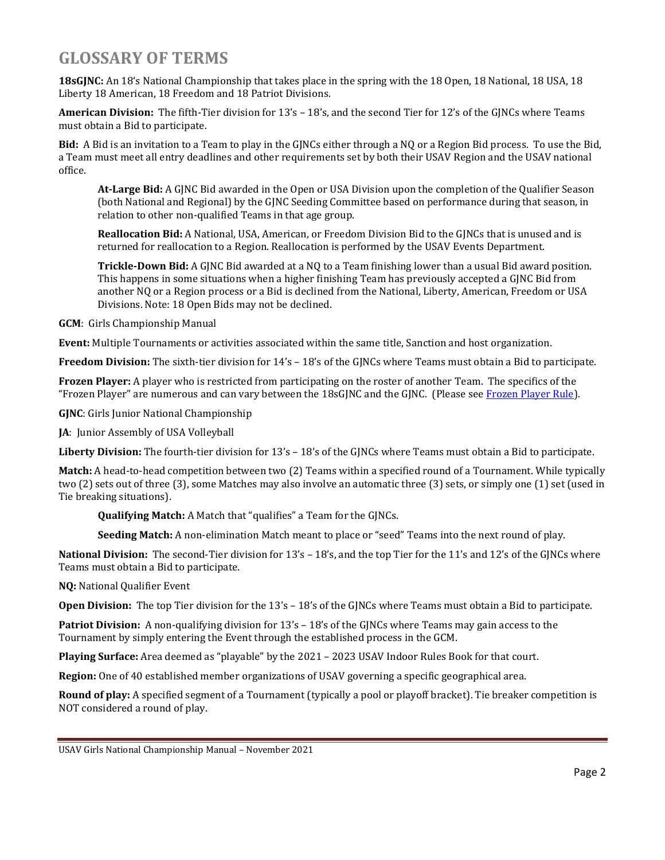# <span id="page-6-0"></span>**GLOSSARY OF TERMS**

**18sGJNC:** An 18's National Championship that takes place in the spring with the 18 Open, 18 National, 18 USA, 18 Liberty 18 American, 18 Freedom and 18 Patriot Divisions.

**American Division:** The fifth-Tier division for 13's – 18's, and the second Tier for 12's of the GJNCs where Teams must obtain a Bid to participate.

**Bid:** A Bid is an invitation to a Team to play in the GJNCs either through a NQ or a Region Bid process. To use the Bid, a Team must meet all entry deadlines and other requirements set by both their USAV Region and the USAV national office.

**At-Large Bid:** A GJNC Bid awarded in the Open or USA Division upon the completion of the Qualifier Season (both National and Regional) by the GJNC Seeding Committee based on performance during that season, in relation to other non-qualified Teams in that age group.

**Reallocation Bid:** A National, USA, American, or Freedom Division Bid to the GJNCs that is unused and is returned for reallocation to a Region. Reallocation is performed by the USAV Events Department.

**Trickle-Down Bid:** A GJNC Bid awarded at a NQ to a Team finishing lower than a usual Bid award position. This happens in some situations when a higher finishing Team has previously accepted a GJNC Bid from another NQ or a Region process or a Bid is declined from the National, Liberty, American, Freedom or USA Divisions. Note: 18 Open Bids may not be declined.

**GCM**: Girls Championship Manual

**Event:** Multiple Tournaments or activities associated within the same title, Sanction and host organization.

**Freedom Division:** The sixth-tier division for 14's – 18's of the GJNCs where Teams must obtain a Bid to participate.

**Frozen Player:** A player who is restricted from participating on the roster of another Team. The specifics of the "Frozen Player" are numerous and can vary between the 18sGJNC and the GJNC. (Please se[e Frozen Player Rule\)](file://///files.usav.org/share$/Event%20Dept/Events/Girls%20Qualifiers/Manuals/GJNC%20Championship%20Manual/2018/Frozen_Player%23_The_).

**GJNC**: Girls Junior National Championship

**JA**: Junior Assembly of USA Volleyball

**Liberty Division:** The fourth-tier division for 13's – 18's of the GJNCs where Teams must obtain a Bid to participate.

**Match:** A head-to-head competition between two (2) Teams within a specified round of a Tournament. While typically two (2) sets out of three (3), some Matches may also involve an automatic three (3) sets, or simply one (1) set (used in Tie breaking situations).

**Qualifying Match:** A Match that "qualifies" a Team for the GJNCs.

**Seeding Match:** A non-elimination Match meant to place or "seed" Teams into the next round of play.

**National Division:** The second-Tier division for 13's – 18's, and the top Tier for the 11's and 12's of the GJNCs where Teams must obtain a Bid to participate.

**NQ:** National Qualifier Event

**Open Division:** The top Tier division for the 13's – 18's of the GJNCs where Teams must obtain a Bid to participate.

**Patriot Division:** A non-qualifying division for 13's – 18's of the GJNCs where Teams may gain access to the Tournament by simply entering the Event through the established process in the GCM.

**Playing Surface:** Area deemed as "playable" by the 2021 – 2023 USAV Indoor Rules Book for that court.

**Region:** One of 40 established member organizations of USAV governing a specific geographical area.

**Round of play:** A specified segment of a Tournament (typically a pool or playoff bracket). Tie breaker competition is NOT considered a round of play.

USAV Girls National Championship Manual – November 2021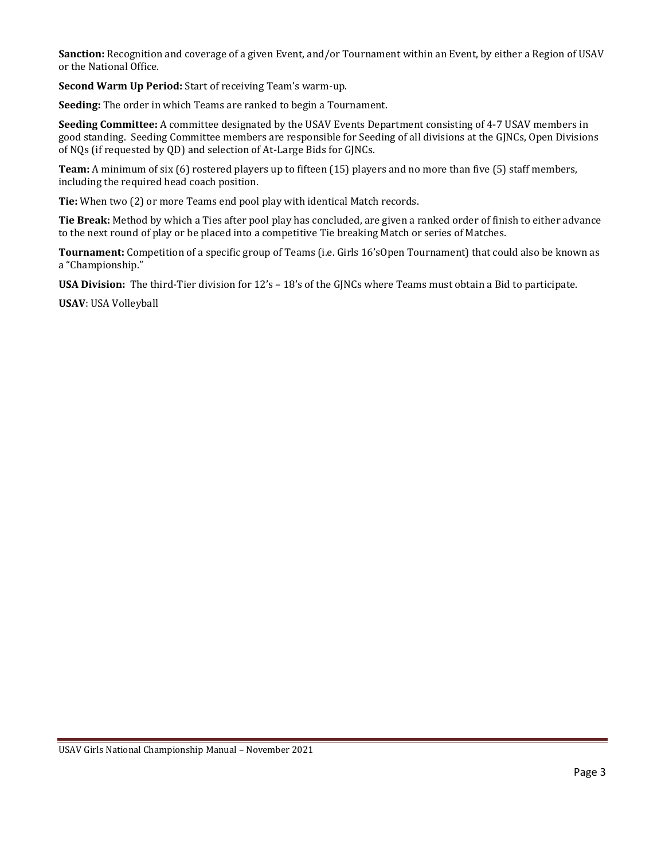**Sanction:** Recognition and coverage of a given Event, and/or Tournament within an Event, by either a Region of USAV or the National Office.

**Second Warm Up Period:** Start of receiving Team's warm-up.

**Seeding:** The order in which Teams are ranked to begin a Tournament.

**Seeding Committee:** A committee designated by the USAV Events Department consisting of 4-7 USAV members in good standing. Seeding Committee members are responsible for Seeding of all divisions at the GJNCs, Open Divisions of NQs (if requested by QD) and selection of At-Large Bids for GJNCs.

**Team:** A minimum of six (6) rostered players up to fifteen (15) players and no more than five (5) staff members, including the required head coach position.

**Tie:** When two (2) or more Teams end pool play with identical Match records.

**Tie Break:** Method by which a Ties after pool play has concluded, are given a ranked order of finish to either advance to the next round of play or be placed into a competitive Tie breaking Match or series of Matches.

**Tournament:** Competition of a specific group of Teams (i.e. Girls 16'sOpen Tournament) that could also be known as a "Championship."

**USA Division:** The third-Tier division for 12's – 18's of the GJNCs where Teams must obtain a Bid to participate.

**USAV**: USA Volleyball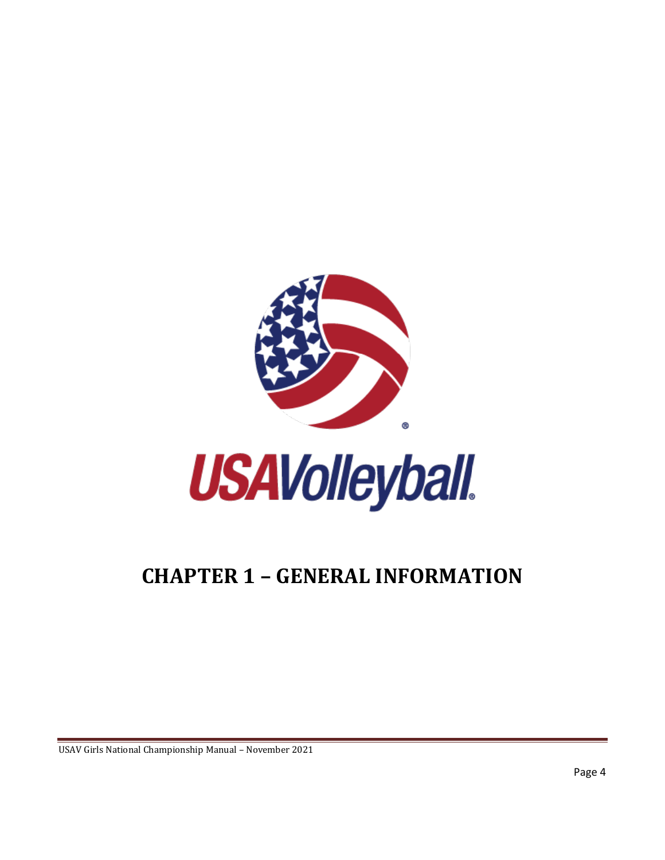

# <span id="page-8-0"></span>**CHAPTER 1 – GENERAL INFORMATION**

USAV Girls National Championship Manual – November 2021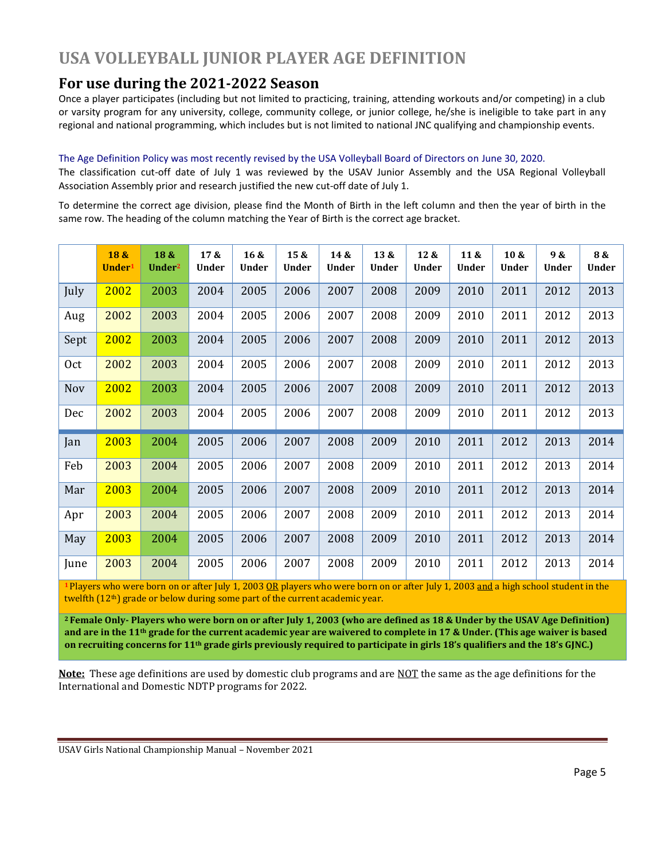# <span id="page-9-0"></span>**USA VOLLEYBALL JUNIOR PLAYER AGE DEFINITION**

#### **For use during the 2021-2022 Season**

Once a player participates (including but not limited to practicing, training, attending workouts and/or competing) in a club or varsity program for any university, college, community college, or junior college, he/she is ineligible to take part in any regional and national programming, which includes but is not limited to national JNC qualifying and championship events.

#### The Age Definition Policy was most recently revised by the USA Volleyball Board of Directors on June 30, 2020.

The classification cut-off date of July 1 was reviewed by the USAV Junior Assembly and the USA Regional Volleyball Association Assembly prior and research justified the new cut-off date of July 1.

To determine the correct age division, please find the Month of Birth in the left column and then the year of birth in the same row. The heading of the column matching the Year of Birth is the correct age bracket.

|      | 18 &<br>Under <sup>1</sup> | 18 &<br>Under <sup>2</sup> | 17 &<br>Under | 16 <sub>8</sub><br><b>Under</b> | 15 &<br><b>Under</b> | 14 &<br>Under | 13 &<br><b>Under</b> | 12 &<br><b>Under</b> | 11 &<br><b>Under</b> | 10 &<br><b>Under</b> | 9 &<br>Under | 8 &<br>Under |
|------|----------------------------|----------------------------|---------------|---------------------------------|----------------------|---------------|----------------------|----------------------|----------------------|----------------------|--------------|--------------|
| July | 2002                       | 2003                       | 2004          | 2005                            | 2006                 | 2007          | 2008                 | 2009                 | 2010                 | 2011                 | 2012         | 2013         |
| Aug  | 2002                       | 2003                       | 2004          | 2005                            | 2006                 | 2007          | 2008                 | 2009                 | 2010                 | 2011                 | 2012         | 2013         |
| Sept | 2002                       | 2003                       | 2004          | 2005                            | 2006                 | 2007          | 2008                 | 2009                 | 2010                 | 2011                 | 2012         | 2013         |
| 0ct  | 2002                       | 2003                       | 2004          | 2005                            | 2006                 | 2007          | 2008                 | 2009                 | 2010                 | 2011                 | 2012         | 2013         |
| Nov  | 2002                       | 2003                       | 2004          | 2005                            | 2006                 | 2007          | 2008                 | 2009                 | 2010                 | 2011                 | 2012         | 2013         |
| Dec  | 2002                       | 2003                       | 2004          | 2005                            | 2006                 | 2007          | 2008                 | 2009                 | 2010                 | 2011                 | 2012         | 2013         |
| Jan  | 2003                       | 2004                       | 2005          | 2006                            | 2007                 | 2008          | 2009                 | 2010                 | 2011                 | 2012                 | 2013         | 2014         |
| Feb  | 2003                       | 2004                       | 2005          | 2006                            | 2007                 | 2008          | 2009                 | 2010                 | 2011                 | 2012                 | 2013         | 2014         |
| Mar  | 2003                       | 2004                       | 2005          | 2006                            | 2007                 | 2008          | 2009                 | 2010                 | 2011                 | 2012                 | 2013         | 2014         |
| Apr  | 2003                       | 2004                       | 2005          | 2006                            | 2007                 | 2008          | 2009                 | 2010                 | 2011                 | 2012                 | 2013         | 2014         |
| May  | 2003                       | 2004                       | 2005          | 2006                            | 2007                 | 2008          | 2009                 | 2010                 | 2011                 | 2012                 | 2013         | 2014         |
| June | 2003                       | 2004                       | 2005          | 2006                            | 2007                 | 2008          | 2009                 | 2010                 | 2011                 | 2012                 | 2013         | 2014         |

**<sup>1</sup>** Players who were born on or after July 1, 2003 OR players who were born on or after July 1, 2003 and a high school student in the twelfth (12<sup>th</sup>) grade or below during some part of the current academic year.

**<sup>2</sup> Female Only- Players who were born on or after July 1, 2003 (who are defined as 18 & Under by the USAV Age Definition) and are in the 11th grade for the current academic year are waivered to complete in 17 & Under. (This age waiver is based on recruiting concerns for 11th grade girls previously required to participate in girls 18's qualifiers and the 18's GJNC.)**

**Note:** These age definitions are used by domestic club programs and are NOT the same as the age definitions for the International and Domestic NDTP programs for 2022.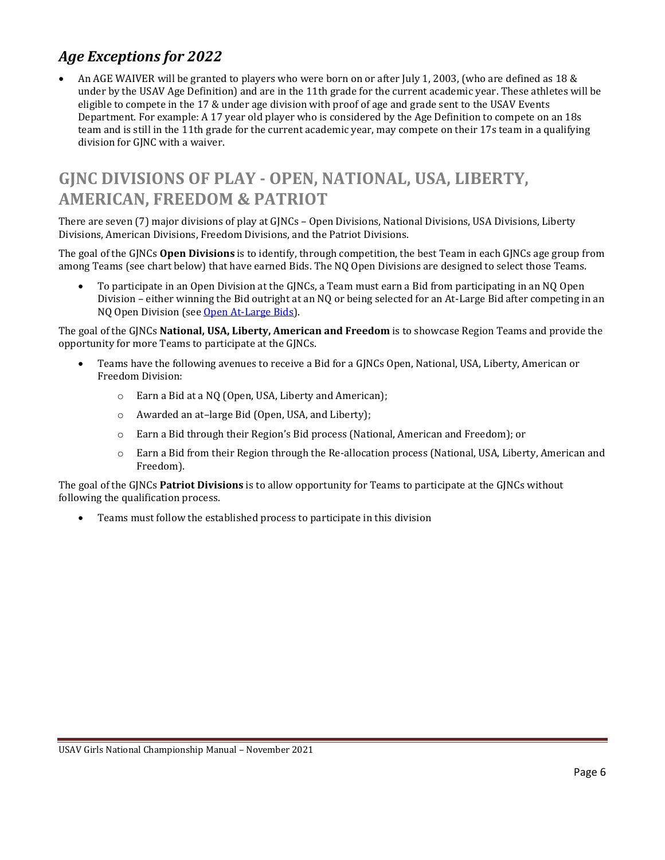#### <span id="page-10-0"></span>*Age Exceptions for 2022*

• An AGE WAIVER will be granted to players who were born on or after July 1, 2003, (who are defined as 18 & under by the USAV Age Definition) and are in the 11th grade for the current academic year. These athletes will be eligible to compete in the 17 & under age division with proof of age and grade sent to the USAV Events Department. For example: A 17 year old player who is considered by the Age Definition to compete on an 18s team and is still in the 11th grade for the current academic year, may compete on their 17s team in a qualifying division for GJNC with a waiver.

# <span id="page-10-1"></span>**GJNC DIVISIONS OF PLAY - OPEN, NATIONAL, USA, LIBERTY, AMERICAN, FREEDOM & PATRIOT**

There are seven (7) major divisions of play at GJNCs – Open Divisions, National Divisions, USA Divisions, Liberty Divisions, American Divisions, Freedom Divisions, and the Patriot Divisions.

The goal of the GJNCs **Open Divisions** is to identify, through competition, the best Team in each GJNCs age group from among Teams (see chart below) that have earned Bids. The NQ Open Divisions are designed to select those Teams.

• To participate in an Open Division at the GJNCs, a Team must earn a Bid from participating in an NQ Open Division – either winning the Bid outright at an NQ or being selected for an At-Large Bid after competing in an NQ Open Division (see [Open At-Large Bids\)](#page-14-3).

The goal of the GJNCs **National, USA, Liberty, American and Freedom** is to showcase Region Teams and provide the opportunity for more Teams to participate at the GJNCs.

- Teams have the following avenues to receive a Bid for a GJNCs Open, National, USA, Liberty, American or Freedom Division:
	- o Earn a Bid at a NQ (Open, USA, Liberty and American);
	- o Awarded an at–large Bid (Open, USA, and Liberty);
	- o Earn a Bid through their Region's Bid process (National, American and Freedom); or
	- o Earn a Bid from their Region through the Re-allocation process (National, USA, Liberty, American and Freedom).

The goal of the GJNCs **Patriot Divisions** is to allow opportunity for Teams to participate at the GJNCs without following the qualification process.

• Teams must follow the established process to participate in this division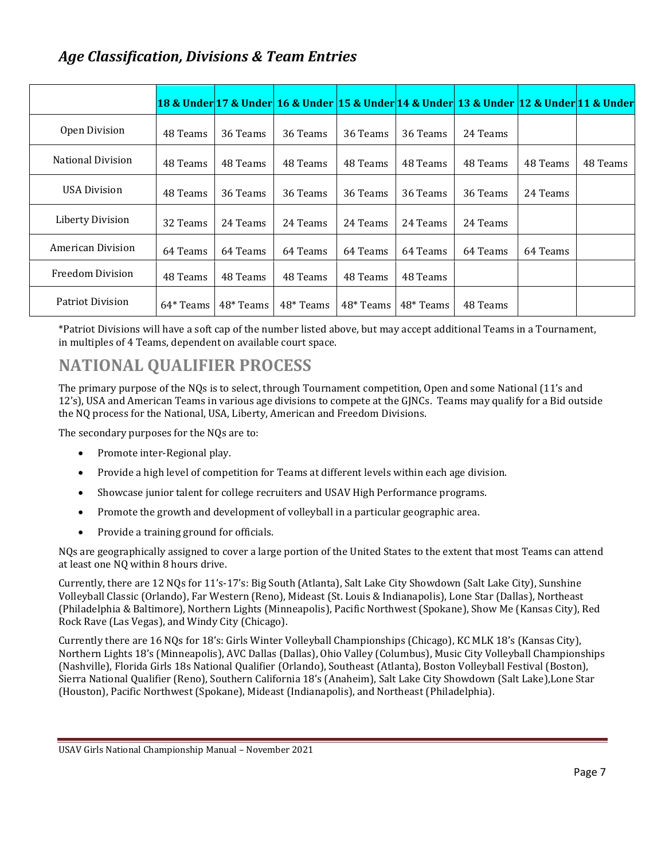#### <span id="page-11-0"></span>*Age Classification, Divisions & Team Entries*

|                          |           |           | 18 & Under 17 & Under 16 & Under 15 & Under 14 & Under 13 & Under 12 & Under 11 & Under |           |           |          |          |          |
|--------------------------|-----------|-----------|-----------------------------------------------------------------------------------------|-----------|-----------|----------|----------|----------|
| Open Division            | 48 Teams  | 36 Teams  | 36 Teams                                                                                | 36 Teams  | 36 Teams  | 24 Teams |          |          |
| <b>National Division</b> | 48 Teams  | 48 Teams  | 48 Teams                                                                                | 48 Teams  | 48 Teams  | 48 Teams | 48 Teams | 48 Teams |
| USA Division             | 48 Teams  | 36 Teams  | 36 Teams                                                                                | 36 Teams  | 36 Teams  | 36 Teams | 24 Teams |          |
| Liberty Division         | 32 Teams  | 24 Teams  | 24 Teams                                                                                | 24 Teams  | 24 Teams  | 24 Teams |          |          |
| American Division        | 64 Teams  | 64 Teams  | 64 Teams                                                                                | 64 Teams  | 64 Teams  | 64 Teams | 64 Teams |          |
| <b>Freedom Division</b>  | 48 Teams  | 48 Teams  | 48 Teams                                                                                | 48 Teams  | 48 Teams  |          |          |          |
| Patriot Division         | 64* Teams | 48* Teams | 48* Teams                                                                               | 48* Teams | 48* Teams | 48 Teams |          |          |

\*Patriot Divisions will have a soft cap of the number listed above, but may accept additional Teams in a Tournament, in multiples of 4 Teams, dependent on available court space.

## <span id="page-11-1"></span>**NATIONAL QUALIFIER PROCESS**

The primary purpose of the NQs is to select, through Tournament competition, Open and some National (11's and 12's), USA and American Teams in various age divisions to compete at the GJNCs. Teams may qualify for a Bid outside the NQ process for the National, USA, Liberty, American and Freedom Divisions.

The secondary purposes for the NQs are to:

- Promote inter-Regional play.
- Provide a high level of competition for Teams at different levels within each age division.
- Showcase junior talent for college recruiters and USAV High Performance programs.
- Promote the growth and development of volleyball in a particular geographic area.
- Provide a training ground for officials.

NQs are geographically assigned to cover a large portion of the United States to the extent that most Teams can attend at least one NQ within 8 hours drive.

Currently, there are 12 NQs for 11's-17's: Big South (Atlanta), Salt Lake City Showdown (Salt Lake City), Sunshine Volleyball Classic (Orlando), Far Western (Reno), Mideast (St. Louis & Indianapolis), Lone Star (Dallas), Northeast (Philadelphia & Baltimore), Northern Lights (Minneapolis), Pacific Northwest (Spokane), Show Me (Kansas City), Red Rock Rave (Las Vegas), and Windy City (Chicago).

Currently there are 16 NQs for 18's: Girls Winter Volleyball Championships (Chicago), KC MLK 18's (Kansas City), Northern Lights 18's (Minneapolis), AVC Dallas (Dallas), Ohio Valley (Columbus), Music City Volleyball Championships (Nashville), Florida Girls 18s National Qualifier (Orlando), Southeast (Atlanta), Boston Volleyball Festival (Boston), Sierra National Qualifier (Reno), Southern California 18's (Anaheim), Salt Lake City Showdown (Salt Lake),Lone Star (Houston), Pacific Northwest (Spokane), Mideast (Indianapolis), and Northeast (Philadelphia).

USAV Girls National Championship Manual – November 2021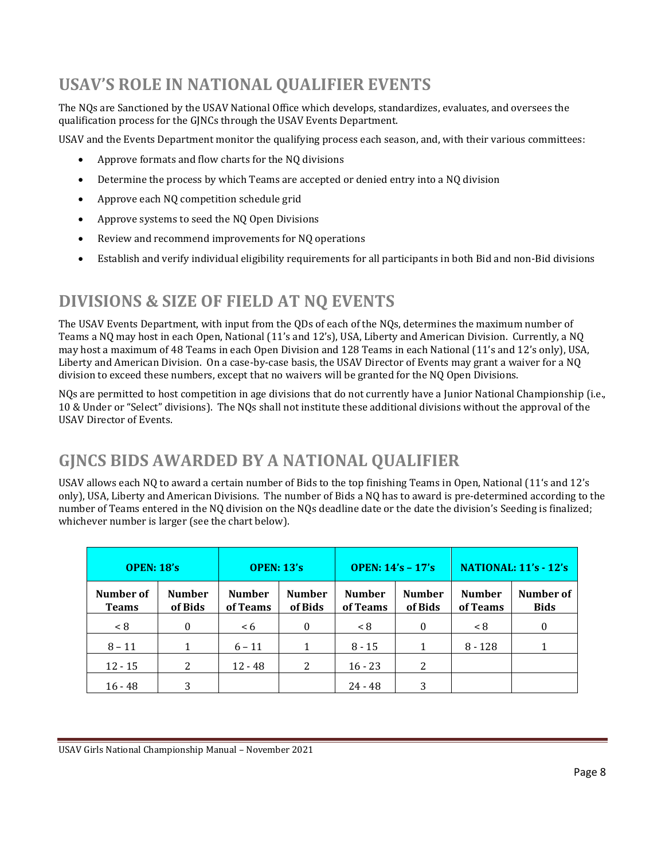# <span id="page-12-0"></span>**USAV'S ROLE IN NATIONAL QUALIFIER EVENTS**

The NQs are Sanctioned by the USAV National Office which develops, standardizes, evaluates, and oversees the qualification process for the GJNCs through the USAV Events Department.

USAV and the Events Department monitor the qualifying process each season, and, with their various committees:

- Approve formats and flow charts for the NQ divisions
- Determine the process by which Teams are accepted or denied entry into a NQ division
- Approve each NQ competition schedule grid
- Approve systems to seed the NQ Open Divisions
- Review and recommend improvements for NQ operations
- Establish and verify individual eligibility requirements for all participants in both Bid and non-Bid divisions

## <span id="page-12-1"></span>**DIVISIONS & SIZE OF FIELD AT NQ EVENTS**

The USAV Events Department, with input from the QDs of each of the NQs, determines the maximum number of Teams a NQ may host in each Open, National (11's and 12's), USA, Liberty and American Division. Currently, a NQ may host a maximum of 48 Teams in each Open Division and 128 Teams in each National (11's and 12's only), USA, Liberty and American Division. On a case-by-case basis, the USAV Director of Events may grant a waiver for a NQ division to exceed these numbers, except that no waivers will be granted for the NQ Open Divisions.

NQs are permitted to host competition in age divisions that do not currently have a Junior National Championship (i.e., 10 & Under or "Select" divisions). The NQs shall not institute these additional divisions without the approval of the USAV Director of Events.

# <span id="page-12-2"></span>**GJNCS BIDS AWARDED BY A NATIONAL QUALIFIER**

USAV allows each NQ to award a certain number of Bids to the top finishing Teams in Open, National (11's and 12's only), USA, Liberty and American Divisions. The number of Bids a NQ has to award is pre-determined according to the number of Teams entered in the NQ division on the NQs deadline date or the date the division's Seeding is finalized; whichever number is larger (see the chart below).

| <b>OPEN: 18's</b>         |                          | <b>OPEN: 13's</b>         |                          | <b>OPEN: 14's - 17's</b>  |                          | <b>NATIONAL: 11's - 12's</b> |                          |
|---------------------------|--------------------------|---------------------------|--------------------------|---------------------------|--------------------------|------------------------------|--------------------------|
| Number of<br><b>Teams</b> | <b>Number</b><br>of Bids | <b>Number</b><br>of Teams | <b>Number</b><br>of Bids | <b>Number</b><br>of Teams | <b>Number</b><br>of Bids | <b>Number</b><br>of Teams    | Number of<br><b>Bids</b> |
| < 8                       | $\Omega$                 | < 6                       | $\theta$                 | < 8                       | $\Omega$                 | < 8                          | $\theta$                 |
| $8 - 11$                  |                          | $6 - 11$                  |                          | $8 - 15$                  | 1                        | $8 - 128$                    | 1                        |
| $12 - 15$                 | 2                        | $12 - 48$                 | 2                        | $16 - 23$                 | 2                        |                              |                          |
| $16 - 48$                 | 3                        |                           |                          | $24 - 48$                 | 3                        |                              |                          |

USAV Girls National Championship Manual – November 2021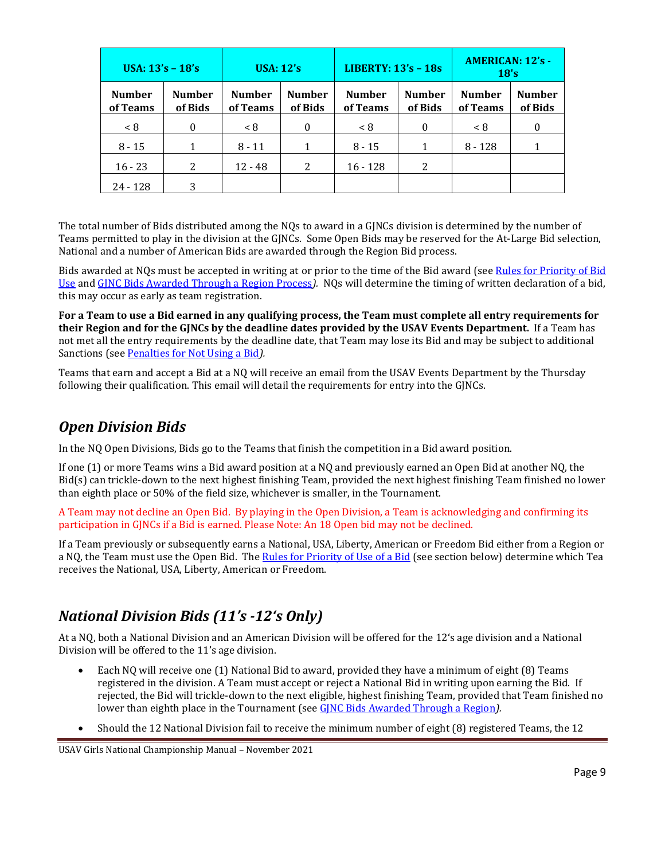| USA: $13's - 18's$        |                          | <b>USA: 12's</b>          |                          | <b>LIBERTY: 13's - 18s</b> |                          | <b>AMERICAN: 12's -</b><br>18's |                          |
|---------------------------|--------------------------|---------------------------|--------------------------|----------------------------|--------------------------|---------------------------------|--------------------------|
| <b>Number</b><br>of Teams | <b>Number</b><br>of Bids | <b>Number</b><br>of Teams | <b>Number</b><br>of Bids | <b>Number</b><br>of Teams  | <b>Number</b><br>of Bids | <b>Number</b><br>of Teams       | <b>Number</b><br>of Bids |
| < 8                       | $\Omega$                 | < 8                       | $\Omega$                 | < 8                        | $\theta$                 | < 8                             | $\Omega$                 |
| $8 - 15$                  |                          | $8 - 11$                  |                          | $8 - 15$                   |                          | $8 - 128$                       |                          |
| $16 - 23$                 | 2                        | $12 - 48$                 | 2                        | $16 - 128$                 | 2                        |                                 |                          |
| 24 - 128                  | 3                        |                           |                          |                            |                          |                                 |                          |

The total number of Bids distributed among the NQs to award in a GJNCs division is determined by the number of Teams permitted to play in the division at the GJNCs. Some Open Bids may be reserved for the At-Large Bid selection, National and a number of American Bids are awarded through the Region Bid process.

Bids awarded at NQs must be accepted in writing at or prior to the time of the Bid award (se[e Rules for Priority of Bid](#page-16-0) [Use](#page-16-0) and GJNC Bids [Awarded Through a Region](#page-14-3) Process*).* NQs will determine the timing of written declaration of a bid, this may occur as early as team registration.

**For a Team to use a Bid earned in any qualifying process, the Team must complete all entry requirements for their Region and for the GJNCs by the deadline dates provided by the USAV Events Department.** If a Team has not met all the entry requirements by the deadline date, that Team may lose its Bid and may be subject to additional Sanctions (see Penalties [for Not Using a](#page-17-0) Bid*).*

Teams that earn and accept a Bid at a NQ will receive an email from the USAV Events Department by the Thursday following their qualification. This email will detail the requirements for entry into the GJNCs.

#### <span id="page-13-0"></span>*Open Division Bids*

In the NQ Open Divisions, Bids go to the Teams that finish the competition in a Bid award position.

If one (1) or more Teams wins a Bid award position at a NQ and previously earned an Open Bid at another NQ, the Bid(s) can trickle-down to the next highest finishing Team, provided the next highest finishing Team finished no lower than eighth place or 50% of the field size, whichever is smaller, in the Tournament.

A Team may not decline an Open Bid. By playing in the Open Division, a Team is acknowledging and confirming its participation in GJNCs if a Bid is earned. Please Note: An 18 Open bid may not be declined.

If a Team previously or subsequently earns a National, USA, Liberty, American or Freedom Bid either from a Region or a NQ, the Team must use the Open Bid. Th[e Rules for Priority of Use](#page-16-0) of a Bid (see section below) determine which Tea receives the National, USA, Liberty, American or Freedom.

### <span id="page-13-1"></span>*National Division Bids (11's -12's Only)*

At a NQ, both a National Division and an American Division will be offered for the 12's age division and a National Division will be offered to the 11's age division.

- Each NQ will receive one (1) National Bid to award, provided they have a minimum of eight (8) Teams registered in the division. A Team must accept or reject a National Bid in writing upon earning the Bid. If rejected, the Bid will trickle-down to the next eligible, highest finishing Team, provided that Team finished no lower than eighth place in the Tournament (see GJNC Bids [Awarded Through a Region](#page-14-3)*).*
- Should the 12 National Division fail to receive the minimum number of eight (8) registered Teams, the 12

USAV Girls National Championship Manual – November 2021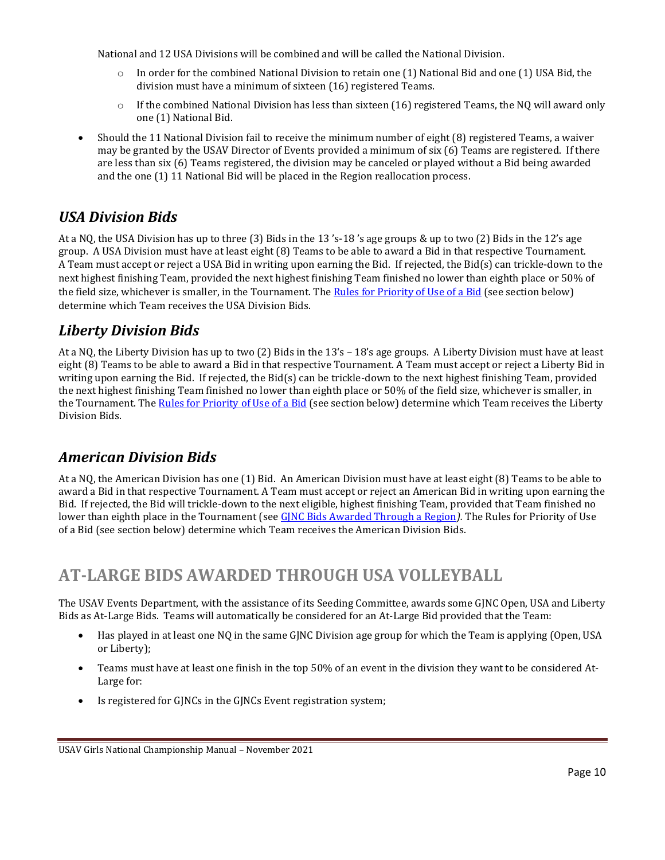National and 12 USA Divisions will be combined and will be called the National Division.

- $\circ$  In order for the combined National Division to retain one (1) National Bid and one (1) USA Bid, the division must have a minimum of sixteen (16) registered Teams.
- $\circ$  If the combined National Division has less than sixteen (16) registered Teams, the NQ will award only one (1) National Bid.
- Should the 11 National Division fail to receive the minimum number of eight (8) registered Teams, a waiver may be granted by the USAV Director of Events provided a minimum of six (6) Teams are registered. If there are less than six (6) Teams registered, the division may be canceled or played without a Bid being awarded and the one (1) 11 National Bid will be placed in the Region reallocation process.

#### <span id="page-14-0"></span>*USA Division Bids*

At a NQ, the USA Division has up to three (3) Bids in the 13 's-18 's age groups & up to two (2) Bids in the 12's age group. A USA Division must have at least eight (8) Teams to be able to award a Bid in that respective Tournament. A Team must accept or reject a USA Bid in writing upon earning the Bid. If rejected, the Bid(s) can trickle-down to the next highest finishing Team, provided the next highest finishing Team finished no lower than eighth place or 50% of the field size, whichever is smaller, in the Tournament. Th[e Rules for Priority of Use of a Bid](#page-16-0) (see section below) determine which Team receives the USA Division Bids.

#### <span id="page-14-1"></span>*Liberty Division Bids*

At a NQ, the Liberty Division has up to two (2) Bids in the 13's – 18's age groups. A Liberty Division must have at least eight (8) Teams to be able to award a Bid in that respective Tournament. A Team must accept or reject a Liberty Bid in writing upon earning the Bid. If rejected, the Bid(s) can be trickle-down to the next highest finishing Team, provided the next highest finishing Team finished no lower than eighth place or 50% of the field size, whichever is smaller, in the Tournament. The [Rules for Priority of Use of a Bid](#page-16-0) (see section below) determine which Team receives the Liberty Division Bids.

#### <span id="page-14-2"></span>*American Division Bids*

At a NQ, the American Division has one (1) Bid. An American Division must have at least eight (8) Teams to be able to award a Bid in that respective Tournament. A Team must accept or reject an American Bid in writing upon earning the Bid. If rejected, the Bid will trickle-down to the next eligible, highest finishing Team, provided that Team finished no lower than eighth place in the Tournament (see GJNC Bids [Awarded Through a Region](#page-14-3)*).* The Rules for Priority of Use of a Bid (see section below) determine which Team receives the American Division Bids.

# <span id="page-14-3"></span>**AT-LARGE BIDS AWARDED THROUGH USA VOLLEYBALL**

The USAV Events Department, with the assistance of its Seeding Committee, awards some GJNC Open, USA and Liberty Bids as At-Large Bids. Teams will automatically be considered for an At-Large Bid provided that the Team:

- Has played in at least one NQ in the same GJNC Division age group for which the Team is applying (Open, USA or Liberty);
- Teams must have at least one finish in the top 50% of an event in the division they want to be considered At-Large for:
- Is registered for GJNCs in the GJNCs Event registration system;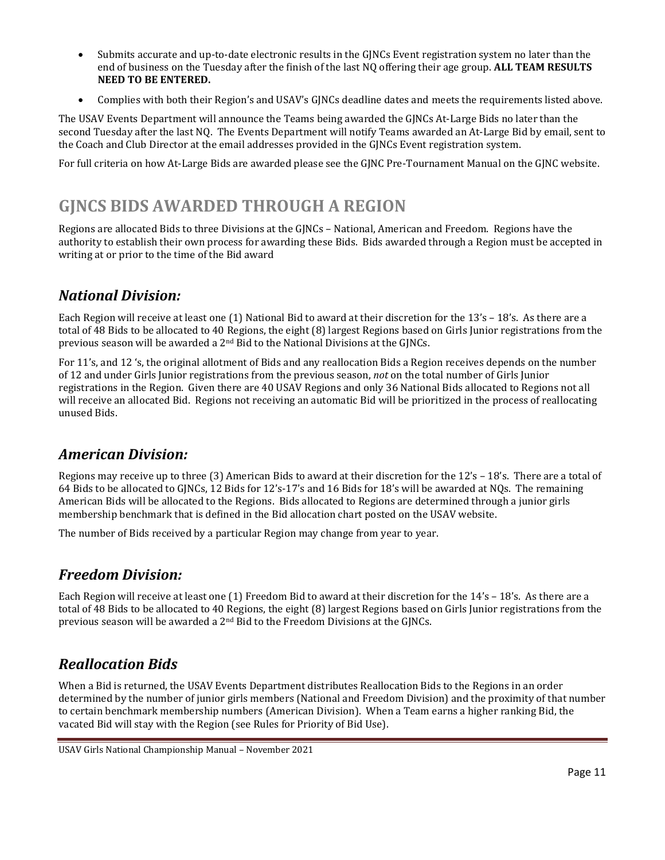- Submits accurate and up-to-date electronic results in the GJNCs Event registration system no later than the end of business on the Tuesday after the finish of the last NQ offering their age group. **ALL TEAM RESULTS NEED TO BE ENTERED.**
- Complies with both their Region's and USAV's GJNCs deadline dates and meets the requirements listed above.

The USAV Events Department will announce the Teams being awarded the GJNCs At-Large Bids no later than the second Tuesday after the last NQ. The Events Department will notify Teams awarded an At-Large Bid by email, sent to the Coach and Club Director at the email addresses provided in the GJNCs Event registration system.

For full criteria on how At-Large Bids are awarded please see the GJNC Pre-Tournament Manual on the GJNC website.

# <span id="page-15-0"></span>**GJNCS BIDS AWARDED THROUGH A REGION**

Regions are allocated Bids to three Divisions at the GJNCs – National, American and Freedom. Regions have the authority to establish their own process for awarding these Bids. Bids awarded through a Region must be accepted in writing at or prior to the time of the Bid award

#### <span id="page-15-1"></span>*National Division:*

Each Region will receive at least one (1) National Bid to award at their discretion for the 13's – 18's. As there are a total of 48 Bids to be allocated to 40 Regions, the eight (8) largest Regions based on Girls Junior registrations from the previous season will be awarded a 2nd Bid to the National Divisions at the GJNCs.

For 11's, and 12 's, the original allotment of Bids and any reallocation Bids a Region receives depends on the number of 12 and under Girls Junior registrations from the previous season, *not* on the total number of Girls Junior registrations in the Region. Given there are 40 USAV Regions and only 36 National Bids allocated to Regions not all will receive an allocated Bid. Regions not receiving an automatic Bid will be prioritized in the process of reallocating unused Bids.

#### <span id="page-15-2"></span>*American Division:*

Regions may receive up to three (3) American Bids to award at their discretion for the 12's – 18's. There are a total of 64 Bids to be allocated to GJNCs, 12 Bids for 12's-17's and 16 Bids for 18's will be awarded at NQs. The remaining American Bids will be allocated to the Regions. Bids allocated to Regions are determined through a junior girls membership benchmark that is defined in the Bid allocation chart posted on the USAV website.

The number of Bids received by a particular Region may change from year to year.

#### <span id="page-15-3"></span>*Freedom Division:*

Each Region will receive at least one (1) Freedom Bid to award at their discretion for the 14's – 18's. As there are a total of 48 Bids to be allocated to 40 Regions, the eight (8) largest Regions based on Girls Junior registrations from the previous season will be awarded a 2nd Bid to the Freedom Divisions at the GJNCs.

### <span id="page-15-4"></span>*Reallocation Bids*

When a Bid is returned, the USAV Events Department distributes Reallocation Bids to the Regions in an order determined by the number of junior girls members (National and Freedom Division) and the proximity of that number to certain benchmark membership numbers (American Division). When a Team earns a higher ranking Bid, the vacated Bid will stay with the Region (see Rules for Priority of Bid Use).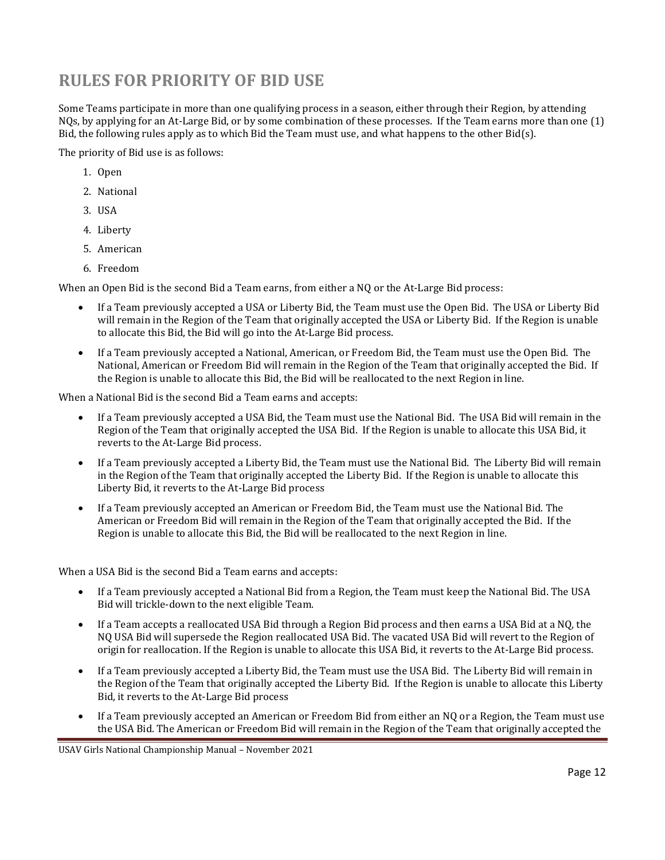# <span id="page-16-0"></span>**RULES FOR PRIORITY OF BID USE**

Some Teams participate in more than one qualifying process in a season, either through their Region, by attending NQs, by applying for an At-Large Bid, or by some combination of these processes. If the Team earns more than one (1) Bid, the following rules apply as to which Bid the Team must use, and what happens to the other Bid(s).

The priority of Bid use is as follows:

- 1. Open
- 2. National
- 3. USA
- 4. Liberty
- 5. American
- 6. Freedom

When an Open Bid is the second Bid a Team earns, from either a NQ or the At-Large Bid process:

- If a Team previously accepted a USA or Liberty Bid, the Team must use the Open Bid. The USA or Liberty Bid will remain in the Region of the Team that originally accepted the USA or Liberty Bid. If the Region is unable to allocate this Bid, the Bid will go into the At-Large Bid process.
- If a Team previously accepted a National, American, or Freedom Bid, the Team must use the Open Bid. The National, American or Freedom Bid will remain in the Region of the Team that originally accepted the Bid. If the Region is unable to allocate this Bid, the Bid will be reallocated to the next Region in line.

When a National Bid is the second Bid a Team earns and accepts:

- If a Team previously accepted a USA Bid, the Team must use the National Bid. The USA Bid will remain in the Region of the Team that originally accepted the USA Bid. If the Region is unable to allocate this USA Bid, it reverts to the At-Large Bid process.
- If a Team previously accepted a Liberty Bid, the Team must use the National Bid. The Liberty Bid will remain in the Region of the Team that originally accepted the Liberty Bid. If the Region is unable to allocate this Liberty Bid, it reverts to the At-Large Bid process
- If a Team previously accepted an American or Freedom Bid, the Team must use the National Bid. The American or Freedom Bid will remain in the Region of the Team that originally accepted the Bid. If the Region is unable to allocate this Bid, the Bid will be reallocated to the next Region in line.

When a USA Bid is the second Bid a Team earns and accepts:

- If a Team previously accepted a National Bid from a Region, the Team must keep the National Bid. The USA Bid will trickle-down to the next eligible Team.
- If a Team accepts a reallocated USA Bid through a Region Bid process and then earns a USA Bid at a NQ, the NQ USA Bid will supersede the Region reallocated USA Bid. The vacated USA Bid will revert to the Region of origin for reallocation. If the Region is unable to allocate this USA Bid, it reverts to the At-Large Bid process.
- If a Team previously accepted a Liberty Bid, the Team must use the USA Bid. The Liberty Bid will remain in the Region of the Team that originally accepted the Liberty Bid. If the Region is unable to allocate this Liberty Bid, it reverts to the At-Large Bid process
- If a Team previously accepted an American or Freedom Bid from either an NQ or a Region, the Team must use the USA Bid. The American or Freedom Bid will remain in the Region of the Team that originally accepted the

USAV Girls National Championship Manual – November 2021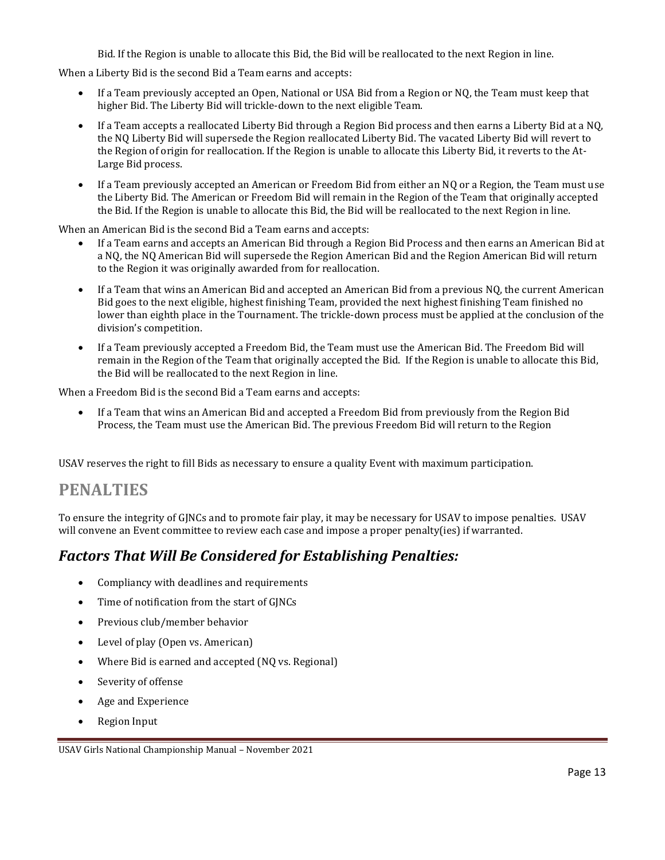Bid. If the Region is unable to allocate this Bid, the Bid will be reallocated to the next Region in line.

When a Liberty Bid is the second Bid a Team earns and accepts:

- If a Team previously accepted an Open, National or USA Bid from a Region or NQ, the Team must keep that higher Bid. The Liberty Bid will trickle-down to the next eligible Team.
- If a Team accepts a reallocated Liberty Bid through a Region Bid process and then earns a Liberty Bid at a NQ, the NQ Liberty Bid will supersede the Region reallocated Liberty Bid. The vacated Liberty Bid will revert to the Region of origin for reallocation. If the Region is unable to allocate this Liberty Bid, it reverts to the At-Large Bid process.
- If a Team previously accepted an American or Freedom Bid from either an NQ or a Region, the Team must use the Liberty Bid. The American or Freedom Bid will remain in the Region of the Team that originally accepted the Bid. If the Region is unable to allocate this Bid, the Bid will be reallocated to the next Region in line.

When an American Bid is the second Bid a Team earns and accepts:

- If a Team earns and accepts an American Bid through a Region Bid Process and then earns an American Bid at a NQ, the NQ American Bid will supersede the Region American Bid and the Region American Bid will return to the Region it was originally awarded from for reallocation.
- If a Team that wins an American Bid and accepted an American Bid from a previous NQ, the current American Bid goes to the next eligible, highest finishing Team, provided the next highest finishing Team finished no lower than eighth place in the Tournament. The trickle-down process must be applied at the conclusion of the division's competition.
- If a Team previously accepted a Freedom Bid, the Team must use the American Bid. The Freedom Bid will remain in the Region of the Team that originally accepted the Bid. If the Region is unable to allocate this Bid, the Bid will be reallocated to the next Region in line.

When a Freedom Bid is the second Bid a Team earns and accepts:

• If a Team that wins an American Bid and accepted a Freedom Bid from previously from the Region Bid Process, the Team must use the American Bid. The previous Freedom Bid will return to the Region

<span id="page-17-0"></span>USAV reserves the right to fill Bids as necessary to ensure a quality Event with maximum participation.

#### **PENALTIES**

To ensure the integrity of GJNCs and to promote fair play, it may be necessary for USAV to impose penalties. USAV will convene an Event committee to review each case and impose a proper penalty(ies) if warranted.

#### <span id="page-17-1"></span>*Factors That Will Be Considered for Establishing Penalties:*

- Compliancy with deadlines and requirements
- Time of notification from the start of GJNCs
- Previous club/member behavior
- Level of play (Open vs. American)
- Where Bid is earned and accepted (NQ vs. Regional)
- Severity of offense
- Age and Experience
- Region Input

USAV Girls National Championship Manual – November 2021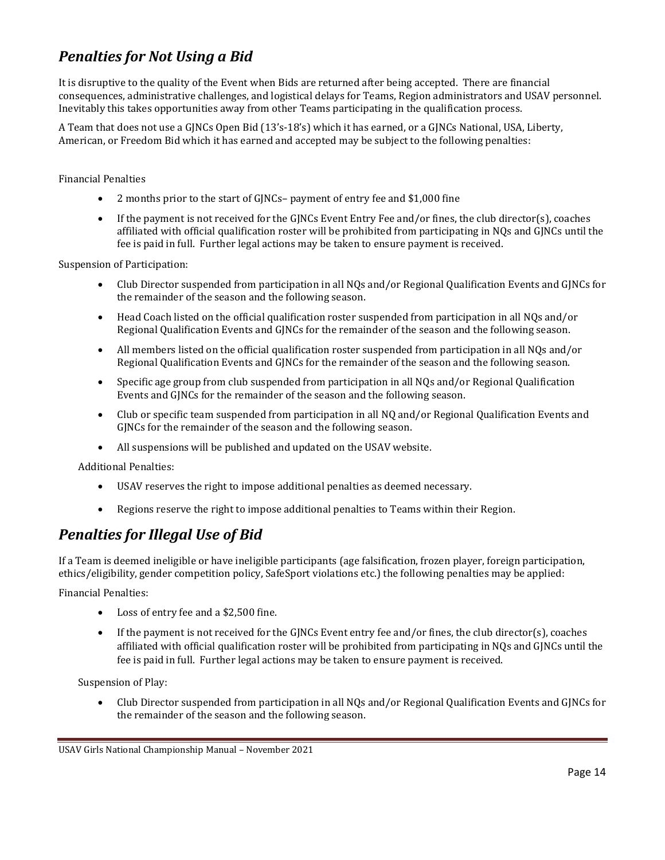#### <span id="page-18-0"></span>*Penalties for Not Using a Bid*

It is disruptive to the quality of the Event when Bids are returned after being accepted. There are financial consequences, administrative challenges, and logistical delays for Teams, Region administrators and USAV personnel. Inevitably this takes opportunities away from other Teams participating in the qualification process.

A Team that does not use a GJNCs Open Bid (13's-18's) which it has earned, or a GJNCs National, USA, Liberty, American, or Freedom Bid which it has earned and accepted may be subject to the following penalties:

Financial Penalties

- 2 months prior to the start of GJNCs– payment of entry fee and \$1,000 fine
- If the payment is not received for the GINCs Event Entry Fee and/or fines, the club director(s), coaches affiliated with official qualification roster will be prohibited from participating in NQs and GJNCs until the fee is paid in full. Further legal actions may be taken to ensure payment is received.

Suspension of Participation:

- Club Director suspended from participation in all NQs and/or Regional Qualification Events and GJNCs for the remainder of the season and the following season.
- Head Coach listed on the official qualification roster suspended from participation in all NQs and/or Regional Qualification Events and GJNCs for the remainder of the season and the following season.
- All members listed on the official qualification roster suspended from participation in all NOs and/or Regional Qualification Events and GJNCs for the remainder of the season and the following season.
- Specific age group from club suspended from participation in all NQs and/or Regional Qualification Events and GJNCs for the remainder of the season and the following season.
- Club or specific team suspended from participation in all NQ and/or Regional Qualification Events and GJNCs for the remainder of the season and the following season.
- All suspensions will be published and updated on the USAV website.

Additional Penalties:

- USAV reserves the right to impose additional penalties as deemed necessary.
- Regions reserve the right to impose additional penalties to Teams within their Region.

#### <span id="page-18-1"></span>*Penalties for Illegal Use of Bid*

If a Team is deemed ineligible or have ineligible participants (age falsification, frozen player, foreign participation, ethics/eligibility, gender competition policy, SafeSport violations etc.) the following penalties may be applied:

Financial Penalties:

- Loss of entry fee and a \$2,500 fine.
- If the payment is not received for the GJNCs Event entry fee and/or fines, the club director(s), coaches affiliated with official qualification roster will be prohibited from participating in NQs and GJNCs until the fee is paid in full. Further legal actions may be taken to ensure payment is received.

Suspension of Play:

• Club Director suspended from participation in all NQs and/or Regional Qualification Events and GJNCs for the remainder of the season and the following season.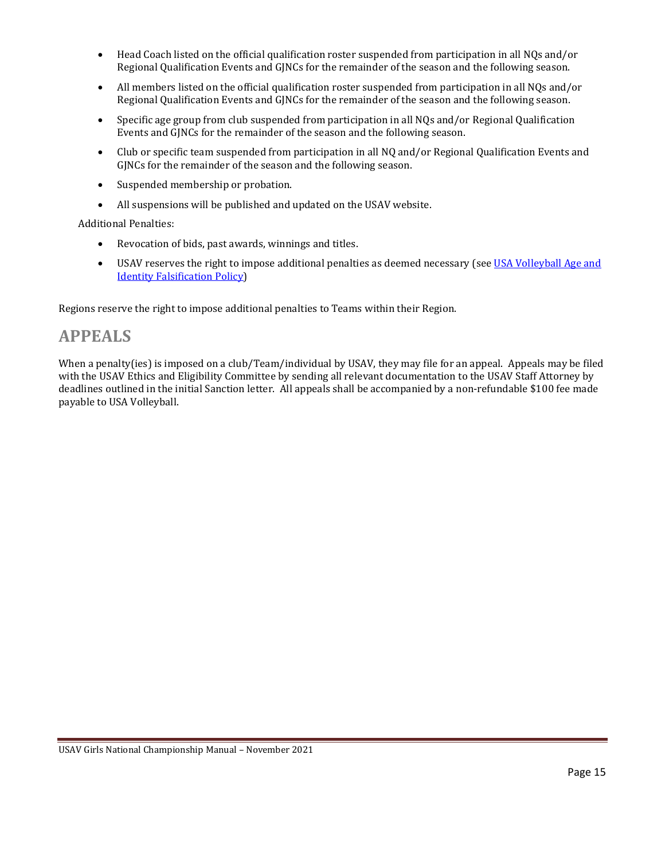- Head Coach listed on the official qualification roster suspended from participation in all NQs and/or Regional Qualification Events and GJNCs for the remainder of the season and the following season.
- All members listed on the official qualification roster suspended from participation in all NQs and/or Regional Qualification Events and GJNCs for the remainder of the season and the following season.
- Specific age group from club suspended from participation in all NQs and/or Regional Qualification Events and GJNCs for the remainder of the season and the following season.
- Club or specific team suspended from participation in all NQ and/or Regional Qualification Events and GJNCs for the remainder of the season and the following season.
- Suspended membership or probation.
- All suspensions will be published and updated on the USAV website.

Additional Penalties:

- Revocation of bids, past awards, winnings and titles.
- USAV reserves the right to impose additional penalties as deemed necessary (see USA Volleyball Age and [Identity Falsification Policy\)](#page-30-0)

Regions reserve the right to impose additional penalties to Teams within their Region.

#### <span id="page-19-0"></span>**APPEALS**

When a penalty(ies) is imposed on a club/Team/individual by USAV, they may file for an appeal. Appeals may be filed with the USAV Ethics and Eligibility Committee by sending all relevant documentation to the USAV Staff Attorney by deadlines outlined in the initial Sanction letter. All appeals shall be accompanied by a non-refundable \$100 fee made payable to USA Volleyball.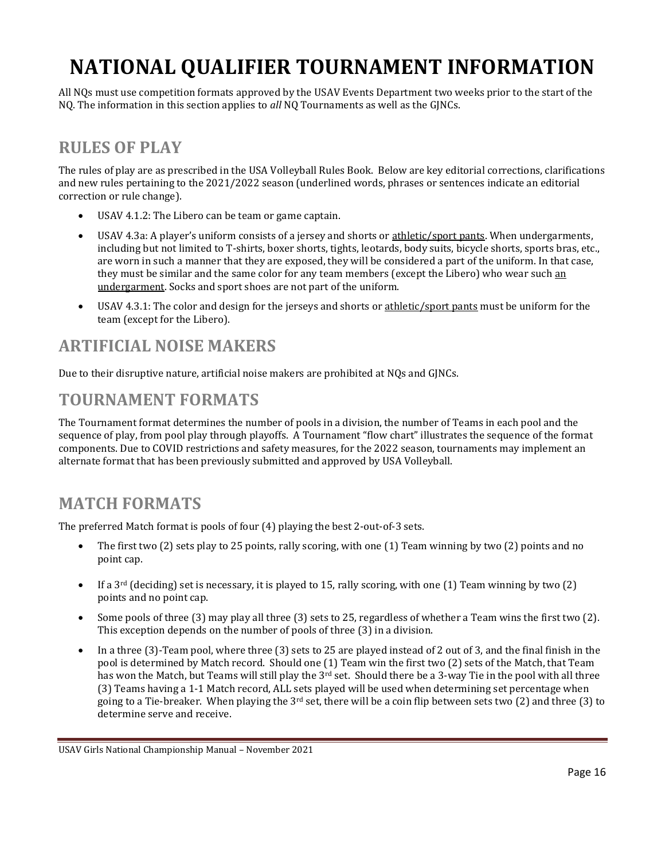# <span id="page-20-0"></span>**NATIONAL QUALIFIER TOURNAMENT INFORMATION**

All NQs must use competition formats approved by the USAV Events Department two weeks prior to the start of the NQ. The information in this section applies to *all* NQ Tournaments as well as the GJNCs.

# <span id="page-20-1"></span>**RULES OF PLAY**

The rules of play are as prescribed in the USA Volleyball Rules Book. Below are key editorial corrections, clarifications and new rules pertaining to the 2021/2022 season (underlined words, phrases or sentences indicate an editorial correction or rule change).

- USAV 4.1.2: The Libero can be team or game captain.
- USAV 4.3a: A player's uniform consists of a jersey and shorts or athletic/sport pants. When undergarments, including but not limited to T-shirts, boxer shorts, tights, leotards, body suits, bicycle shorts, sports bras, etc., are worn in such a manner that they are exposed, they will be considered a part of the uniform. In that case, they must be similar and the same color for any team members (except the Libero) who wear such an undergarment. Socks and sport shoes are not part of the uniform.
- USAV 4.3.1: The color and design for the jerseys and shorts or athletic/sport pants must be uniform for the team (except for the Libero).

### <span id="page-20-2"></span>**ARTIFICIAL NOISE MAKERS**

Due to their disruptive nature, artificial noise makers are prohibited at NQs and GJNCs.

### <span id="page-20-3"></span>**TOURNAMENT FORMATS**

The Tournament format determines the number of pools in a division, the number of Teams in each pool and the sequence of play, from pool play through playoffs. A Tournament "flow chart" illustrates the sequence of the format components. Due to COVID restrictions and safety measures, for the 2022 season, tournaments may implement an alternate format that has been previously submitted and approved by USA Volleyball.

# <span id="page-20-4"></span>**MATCH FORMATS**

The preferred Match format is pools of four (4) playing the best 2-out-of-3 sets.

- The first two (2) sets play to 25 points, rally scoring, with one (1) Team winning by two (2) points and no point cap.
- If a  $3<sup>rd</sup>$  (deciding) set is necessary, it is played to 15, rally scoring, with one (1) Team winning by two (2) points and no point cap.
- Some pools of three (3) may play all three (3) sets to 25, regardless of whether a Team wins the first two (2). This exception depends on the number of pools of three (3) in a division.
- In a three (3)-Team pool, where three (3) sets to 25 are played instead of 2 out of 3, and the final finish in the pool is determined by Match record. Should one (1) Team win the first two (2) sets of the Match, that Team has won the Match, but Teams will still play the 3<sup>rd</sup> set. Should there be a 3-way Tie in the pool with all three (3) Teams having a 1-1 Match record, ALL sets played will be used when determining set percentage when going to a Tie-breaker. When playing the  $3^{rd}$  set, there will be a coin flip between sets two (2) and three (3) to determine serve and receive.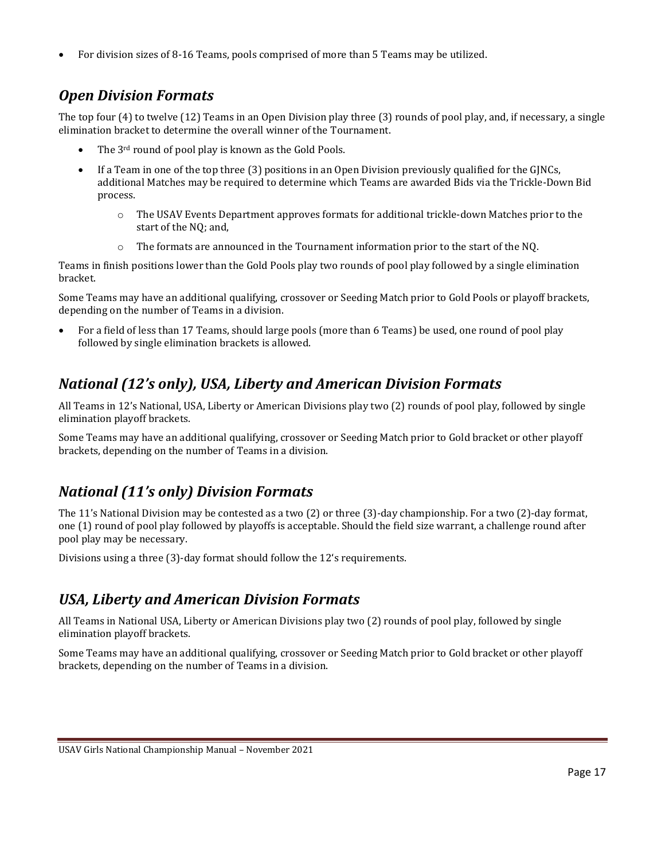• For division sizes of 8-16 Teams, pools comprised of more than 5 Teams may be utilized.

### <span id="page-21-0"></span>*Open Division Formats*

The top four (4) to twelve (12) Teams in an Open Division play three (3) rounds of pool play, and, if necessary, a single elimination bracket to determine the overall winner of the Tournament.

- The 3<sup>rd</sup> round of pool play is known as the Gold Pools.
- If a Team in one of the top three (3) positions in an Open Division previously qualified for the GJNCs, additional Matches may be required to determine which Teams are awarded Bids via the Trickle-Down Bid process.
	- $\circ$  The USAV Events Department approves formats for additional trickle-down Matches prior to the start of the NQ; and,
	- $\circ$  The formats are announced in the Tournament information prior to the start of the NQ.

Teams in finish positions lower than the Gold Pools play two rounds of pool play followed by a single elimination bracket.

Some Teams may have an additional qualifying, crossover or Seeding Match prior to Gold Pools or playoff brackets, depending on the number of Teams in a division.

• For a field of less than 17 Teams, should large pools (more than 6 Teams) be used, one round of pool play followed by single elimination brackets is allowed.

## <span id="page-21-1"></span>*National (12's only), USA, Liberty and American Division Formats*

All Teams in 12's National, USA, Liberty or American Divisions play two (2) rounds of pool play, followed by single elimination playoff brackets.

Some Teams may have an additional qualifying, crossover or Seeding Match prior to Gold bracket or other playoff brackets, depending on the number of Teams in a division.

# <span id="page-21-2"></span>*National (11's only) Division Formats*

The 11's National Division may be contested as a two (2) or three (3)-day championship. For a two (2)-day format, one (1) round of pool play followed by playoffs is acceptable. Should the field size warrant, a challenge round after pool play may be necessary.

Divisions using a three (3)-day format should follow the 12's requirements.

### *USA, Liberty and American Division Formats*

All Teams in National USA, Liberty or American Divisions play two (2) rounds of pool play, followed by single elimination playoff brackets.

Some Teams may have an additional qualifying, crossover or Seeding Match prior to Gold bracket or other playoff brackets, depending on the number of Teams in a division.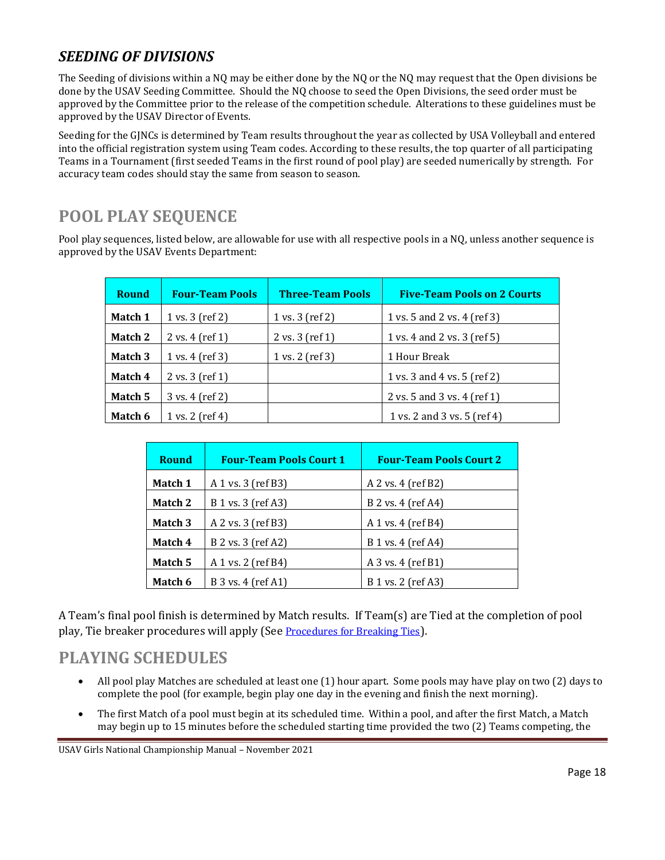#### <span id="page-22-0"></span>*SEEDING OF DIVISIONS*

The Seeding of divisions within a NQ may be either done by the NQ or the NQ may request that the Open divisions be done by the USAV Seeding Committee. Should the NQ choose to seed the Open Divisions, the seed order must be approved by the Committee prior to the release of the competition schedule. Alterations to these guidelines must be approved by the USAV Director of Events.

Seeding for the GJNCs is determined by Team results throughout the year as collected by USA Volleyball and entered into the official registration system using Team codes. According to these results, the top quarter of all participating Teams in a Tournament (first seeded Teams in the first round of pool play) are seeded numerically by strength. For accuracy team codes should stay the same from season to season.

# <span id="page-22-1"></span>**POOL PLAY SEQUENCE**

Pool play sequences, listed below, are allowable for use with all respective pools in a NQ, unless another sequence is approved by the USAV Events Department:

| <b>Round</b> | <b>Four-Team Pools</b>             | <b>Three-Team Pools</b>            | <b>Five-Team Pools on 2 Courts</b> |
|--------------|------------------------------------|------------------------------------|------------------------------------|
| Match 1      | 1 vs. $3$ (ref 2)                  | 1 vs. 3 (ref 2)                    | 1 vs. 5 and 2 vs. 4 (ref 3)        |
| Match 2      | $2 \text{ vs. } 4 \text{ (ref 1)}$ | $2 \text{ vs. } 3 \text{ (ref 1)}$ | 1 vs. 4 and 2 vs. 3 (ref 5)        |
| Match 3      | 1 vs. 4 (ref 3)                    | 1 vs. 2 (ref 3)                    | 1 Hour Break                       |
| Match 4      | $2$ vs. $3$ (ref 1)                |                                    | 1 vs. 3 and 4 vs. 5 (ref 2)        |
| Match 5      | 3 vs. 4 (ref 2)                    |                                    | 2 vs. 5 and 3 vs. 4 (ref 1)        |
| Match 6      | 1 vs. $2$ (ref 4)                  |                                    | 1 vs. 2 and 3 vs. 5 (ref 4)        |

| <b>Round</b>                  | <b>Four-Team Pools Court 1</b> | <b>Four-Team Pools Court 2</b> |  |  |
|-------------------------------|--------------------------------|--------------------------------|--|--|
| Match 1                       | A 1 vs. 3 (ref B3)             | A 2 vs. 4 (ref B2)             |  |  |
| Match 2                       | B 1 vs. 3 (ref A3)             | B 2 vs. 4 (ref A4)             |  |  |
| Match 3                       | A 2 vs. 3 (ref B3)             | A 1 vs. 4 (ref B4)             |  |  |
| Match 4<br>B 2 vs. 3 (ref A2) |                                | B 1 vs. 4 (ref A4)             |  |  |
| Match 5<br>A 1 vs. 2 (ref B4) |                                | $A$ 3 vs. 4 (ref B1)           |  |  |
| Match 6                       | B 3 vs. 4 (ref A1)             | B 1 vs. 2 (ref A3)             |  |  |

A Team's final pool finish is determined by Match results. If Team(s) are Tied at the completion of pool play, Tie breaker procedures will apply (See [Procedures for Breaking Ties](#page-24-0)).

#### <span id="page-22-2"></span>**PLAYING SCHEDULES**

- All pool play Matches are scheduled at least one (1) hour apart. Some pools may have play on two (2) days to complete the pool (for example, begin play one day in the evening and finish the next morning).
- The first Match of a pool must begin at its scheduled time. Within a pool, and after the first Match, a Match may begin up to 15 minutes before the scheduled starting time provided the two (2) Teams competing, the

USAV Girls National Championship Manual – November 2021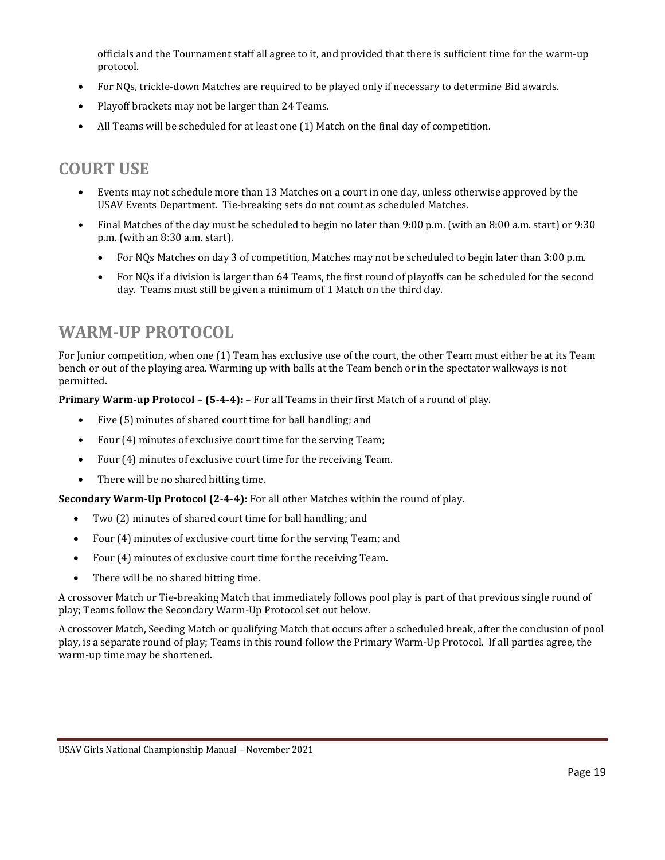officials and the Tournament staff all agree to it, and provided that there is sufficient time for the warm-up protocol.

- For NQs, trickle-down Matches are required to be played only if necessary to determine Bid awards.
- Playoff brackets may not be larger than 24 Teams.
- All Teams will be scheduled for at least one (1) Match on the final day of competition.

# <span id="page-23-0"></span>**COURT USE**

- Events may not schedule more than 13 Matches on a court in one day, unless otherwise approved by the USAV Events Department. Tie-breaking sets do not count as scheduled Matches.
- Final Matches of the day must be scheduled to begin no later than 9:00 p.m. (with an 8:00 a.m. start) or 9:30 p.m. (with an 8:30 a.m. start).
	- For NQs Matches on day 3 of competition, Matches may not be scheduled to begin later than 3:00 p.m.
	- For NQs if a division is larger than 64 Teams, the first round of playoffs can be scheduled for the second day. Teams must still be given a minimum of 1 Match on the third day.

## <span id="page-23-1"></span>**WARM-UP PROTOCOL**

For Junior competition, when one (1) Team has exclusive use of the court, the other Team must either be at its Team bench or out of the playing area. Warming up with balls at the Team bench or in the spectator walkways is not permitted.

**Primary Warm-up Protocol – (5-4-4):** – For all Teams in their first Match of a round of play.

- Five (5) minutes of shared court time for ball handling; and
- Four (4) minutes of exclusive court time for the serving Team;
- Four (4) minutes of exclusive court time for the receiving Team.
- There will be no shared hitting time.

**Secondary Warm-Up Protocol (2-4-4):** For all other Matches within the round of play.

- Two (2) minutes of shared court time for ball handling; and
- Four (4) minutes of exclusive court time for the serving Team; and
- Four (4) minutes of exclusive court time for the receiving Team.
- There will be no shared hitting time.

A crossover Match or Tie-breaking Match that immediately follows pool play is part of that previous single round of play; Teams follow the Secondary Warm-Up Protocol set out below.

A crossover Match, Seeding Match or qualifying Match that occurs after a scheduled break, after the conclusion of pool play, is a separate round of play; Teams in this round follow the Primary Warm-Up Protocol. If all parties agree, the warm-up time may be shortened.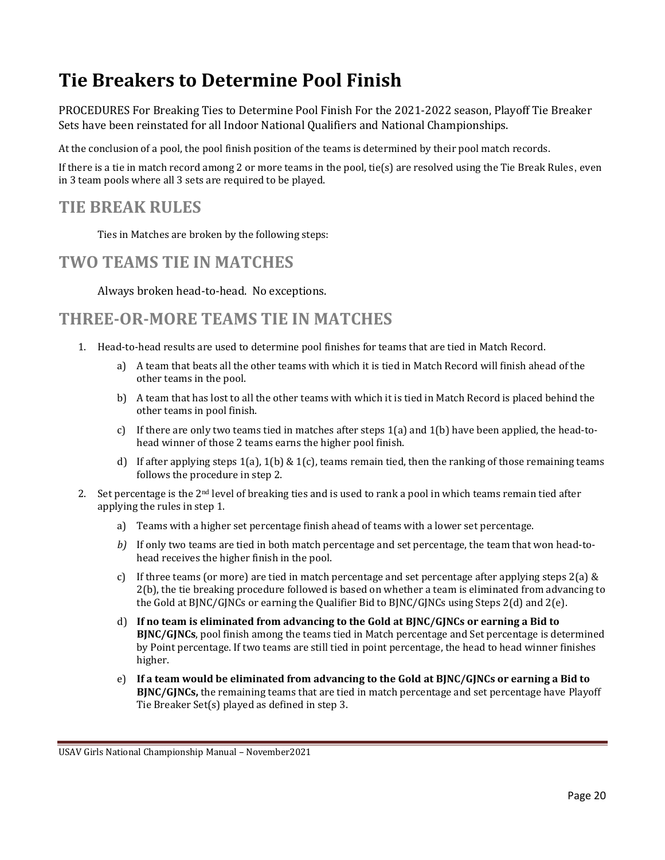# <span id="page-24-0"></span>**Tie Breakers to Determine Pool Finish**

PROCEDURES For Breaking Ties to Determine Pool Finish For the 2021-2022 season, Playoff Tie Breaker Sets have been reinstated for all Indoor National Qualifiers and National Championships.

At the conclusion of a pool, the pool finish position of the teams is determined by their pool match records.

If there is a tie in match record among 2 or more teams in the pool, tie(s) are resolved using the Tie Break Rules, even in 3 team pools where all 3 sets are required to be played.

#### <span id="page-24-1"></span>**TIE BREAK RULES**

Ties in Matches are broken by the following steps:

#### <span id="page-24-2"></span>**TWO TEAMS TIE IN MATCHES**

Always broken head-to-head. No exceptions.

#### <span id="page-24-3"></span>**THREE-OR-MORE TEAMS TIE IN MATCHES**

- 1. Head-to-head results are used to determine pool finishes for teams that are tied in Match Record.
	- a) A team that beats all the other teams with which it is tied in Match Record will finish ahead of the other teams in the pool.
	- b) A team that has lost to all the other teams with which it is tied in Match Record is placed behind the other teams in pool finish.
	- c) If there are only two teams tied in matches after steps  $1(a)$  and  $1(b)$  have been applied, the head-tohead winner of those 2 teams earns the higher pool finish.
	- d) If after applying steps  $1(a)$ ,  $1(b)$  &  $1(c)$ , teams remain tied, then the ranking of those remaining teams follows the procedure in step 2.
- 2. Set percentage is the  $2<sup>nd</sup>$  level of breaking ties and is used to rank a pool in which teams remain tied after applying the rules in step 1.
	- a) Teams with a higher set percentage finish ahead of teams with a lower set percentage.
	- *b)* If only two teams are tied in both match percentage and set percentage, the team that won head-tohead receives the higher finish in the pool.
	- c) If three teams (or more) are tied in match percentage and set percentage after applying steps  $2(a) \&$ 2(b), the tie breaking procedure followed is based on whether a team is eliminated from advancing to the Gold at BJNC/GJNCs or earning the Qualifier Bid to BJNC/GJNCs using Steps 2(d) and 2(e).
	- d) **If no team is eliminated from advancing to the Gold at BJNC/GJNCs or earning a Bid to BJNC/GJNCs**, pool finish among the teams tied in Match percentage and Set percentage is determined by Point percentage. If two teams are still tied in point percentage, the head to head winner finishes higher.
	- e) **If a team would be eliminated from advancing to the Gold at BJNC/GJNCs or earning a Bid to BJNC/GJNCs,** the remaining teams that are tied in match percentage and set percentage have Playoff Tie Breaker Set(s) played as defined in step 3.

USAV Girls National Championship Manual – November2021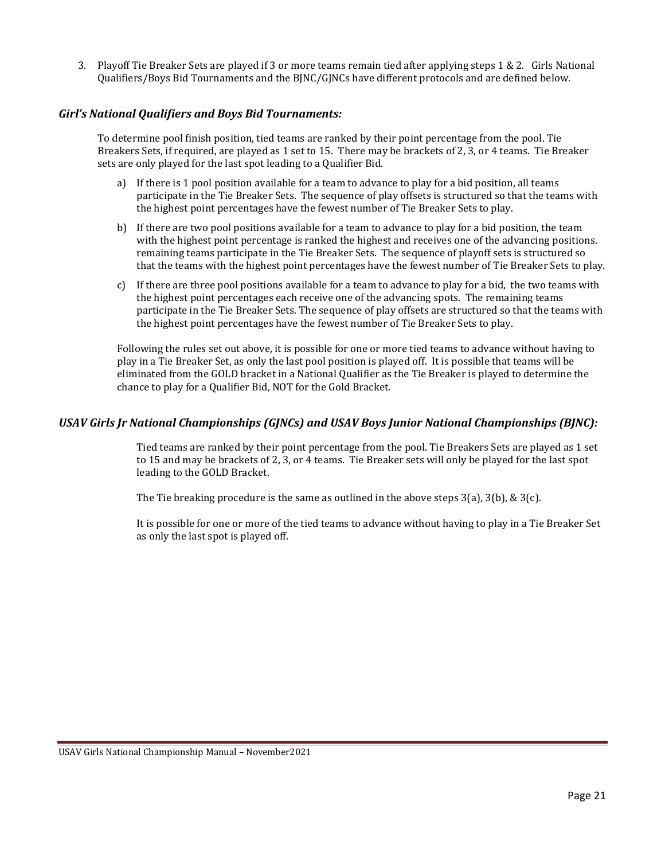3. Playoff Tie Breaker Sets are played if 3 or more teams remain tied after applying steps 1 & 2. Girls National Qualifiers/Boys Bid Tournaments and the BJNC/GJNCs have different protocols and are defined below.

#### <span id="page-25-0"></span>*Girl's National Qualifiers and Boys Bid Tournaments:*

To determine pool finish position, tied teams are ranked by their point percentage from the pool. Tie Breakers Sets, if required, are played as 1 set to 15. There may be brackets of 2, 3, or 4 teams. Tie Breaker sets are only played for the last spot leading to a Qualifier Bid.

- a) If there is 1 pool position available for a team to advance to play for a bid position, all teams participate in the Tie Breaker Sets. The sequence of play offsets is structured so that the teams with the highest point percentages have the fewest number of Tie Breaker Sets to play.
- b) If there are two pool positions available for a team to advance to play for a bid position, the team with the highest point percentage is ranked the highest and receives one of the advancing positions. remaining teams participate in the Tie Breaker Sets. The sequence of playoff sets is structured so that the teams with the highest point percentages have the fewest number of Tie Breaker Sets to play.
- c) If there are three pool positions available for a team to advance to play for a bid, the two teams with the highest point percentages each receive one of the advancing spots. The remaining teams participate in the Tie Breaker Sets. The sequence of play offsets are structured so that the teams with the highest point percentages have the fewest number of Tie Breaker Sets to play.

Following the rules set out above, it is possible for one or more tied teams to advance without having to play in a Tie Breaker Set, as only the last pool position is played off. It is possible that teams will be eliminated from the GOLD bracket in a National Qualifier as the Tie Breaker is played to determine the chance to play for a Qualifier Bid, NOT for the Gold Bracket.

#### <span id="page-25-1"></span>*USAV Girls Jr National Championships (GJNCs) and USAV Boys Junior National Championships (BJNC):*

Tied teams are ranked by their point percentage from the pool. Tie Breakers Sets are played as 1 set to 15 and may be brackets of 2, 3, or 4 teams. Tie Breaker sets will only be played for the last spot leading to the GOLD Bracket.

The Tie breaking procedure is the same as outlined in the above steps  $3(a)$ ,  $3(b)$ ,  $\& 3(c)$ .

It is possible for one or more of the tied teams to advance without having to play in a Tie Breaker Set as only the last spot is played off.

USAV Girls National Championship Manual – November2021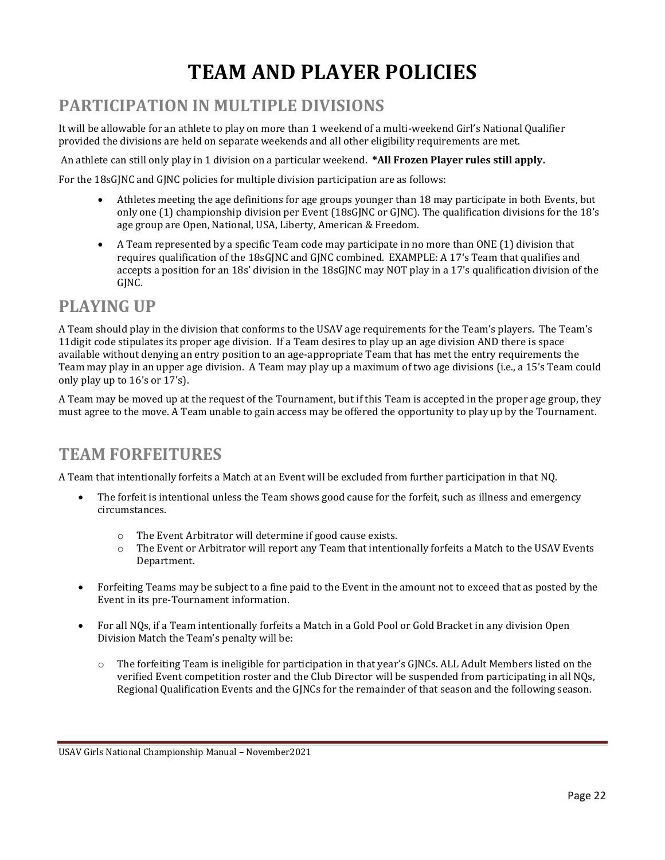# **TEAM AND PLAYER POLICIES**

# <span id="page-26-1"></span><span id="page-26-0"></span>**PARTICIPATION IN MULTIPLE DIVISIONS**

It will be allowable for an athlete to play on more than 1 weekend of a multi-weekend Girl's National Qualifier provided the divisions are held on separate weekends and all other eligibility requirements are met.

An athlete can still only play in 1 division on a particular weekend. **\*All Frozen Player rules still apply.**

For the 18sGJNC and GJNC policies for multiple division participation are as follows:

- Athletes meeting the age definitions for age groups younger than 18 may participate in both Events, but only one (1) championship division per Event (18sGJNC or GJNC). The qualification divisions for the 18's age group are Open, National, USA, Liberty, American & Freedom.
- A Team represented by a specific Team code may participate in no more than ONE (1) division that requires qualification of the 18sGJNC and GJNC combined. EXAMPLE: A 17's Team that qualifies and accepts a position for an 18s' division in the 18sGJNC may NOT play in a 17's qualification division of the GJNC.

#### <span id="page-26-2"></span>**PLAYING UP**

A Team should play in the division that conforms to the USAV age requirements for the Team's players. The Team's 11digit code stipulates its proper age division. If a Team desires to play up an age division AND there is space available without denying an entry position to an age-appropriate Team that has met the entry requirements the Team may play in an upper age division. A Team may play up a maximum of two age divisions (i.e., a 15's Team could only play up to 16's or 17's).

A Team may be moved up at the request of the Tournament, but if this Team is accepted in the proper age group, they must agree to the move. A Team unable to gain access may be offered the opportunity to play up by the Tournament.

### <span id="page-26-3"></span>**TEAM FORFEITURES**

A Team that intentionally forfeits a Match at an Event will be excluded from further participation in that NQ.

- The forfeit is intentional unless the Team shows good cause for the forfeit, such as illness and emergency circumstances.
	- o The Event Arbitrator will determine if good cause exists.
	- o The Event or Arbitrator will report any Team that intentionally forfeits a Match to the USAV Events Department.
- Forfeiting Teams may be subject to a fine paid to the Event in the amount not to exceed that as posted by the Event in its pre-Tournament information.
- For all NQs, if a Team intentionally forfeits a Match in a Gold Pool or Gold Bracket in any division Open Division Match the Team's penalty will be:
	- o The forfeiting Team is ineligible for participation in that year's GJNCs. ALL Adult Members listed on the verified Event competition roster and the Club Director will be suspended from participating in all NQs, Regional Qualification Events and the GJNCs for the remainder of that season and the following season.

USAV Girls National Championship Manual – November2021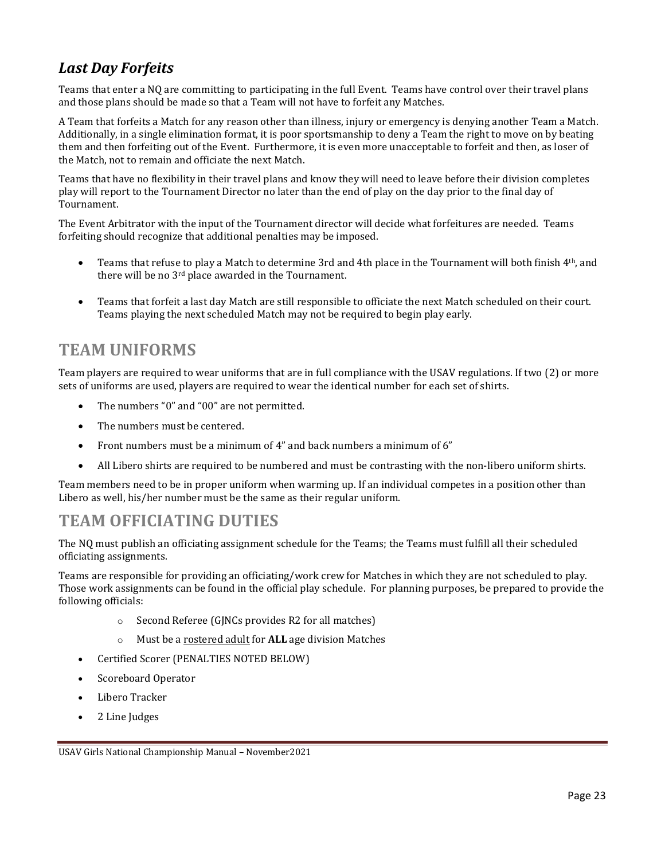### <span id="page-27-0"></span>*Last Day Forfeits*

Teams that enter a NQ are committing to participating in the full Event. Teams have control over their travel plans and those plans should be made so that a Team will not have to forfeit any Matches.

A Team that forfeits a Match for any reason other than illness, injury or emergency is denying another Team a Match. Additionally, in a single elimination format, it is poor sportsmanship to deny a Team the right to move on by beating them and then forfeiting out of the Event. Furthermore, it is even more unacceptable to forfeit and then, as loser of the Match, not to remain and officiate the next Match.

Teams that have no flexibility in their travel plans and know they will need to leave before their division completes play will report to the Tournament Director no later than the end of play on the day prior to the final day of Tournament.

The Event Arbitrator with the input of the Tournament director will decide what forfeitures are needed. Teams forfeiting should recognize that additional penalties may be imposed.

- Teams that refuse to play a Match to determine 3rd and 4th place in the Tournament will both finish 4<sup>th</sup>, and there will be no 3<sup>rd</sup> place awarded in the Tournament.
- Teams that forfeit a last day Match are still responsible to officiate the next Match scheduled on their court. Teams playing the next scheduled Match may not be required to begin play early.

#### <span id="page-27-1"></span>**TEAM UNIFORMS**

Team players are required to wear uniforms that are in full compliance with the USAV regulations. If two (2) or more sets of uniforms are used, players are required to wear the identical number for each set of shirts.

- The numbers "0" and "00" are not permitted.
- The numbers must be centered.
- Front numbers must be a minimum of 4" and back numbers a minimum of 6"
- All Libero shirts are required to be numbered and must be contrasting with the non-libero uniform shirts.

Team members need to be in proper uniform when warming up. If an individual competes in a position other than Libero as well, his/her number must be the same as their regular uniform.

### <span id="page-27-2"></span>**TEAM OFFICIATING DUTIES**

The NQ must publish an officiating assignment schedule for the Teams; the Teams must fulfill all their scheduled officiating assignments.

Teams are responsible for providing an officiating/work crew for Matches in which they are not scheduled to play. Those work assignments can be found in the official play schedule. For planning purposes, be prepared to provide the following officials:

- o Second Referee (GJNCs provides R2 for all matches)
- o Must be a rostered adult for **ALL** age division Matches
- Certified Scorer (PENALTIES NOTED BELOW)
- Scoreboard Operator
- Libero Tracker
- 2 Line Judges

USAV Girls National Championship Manual – November2021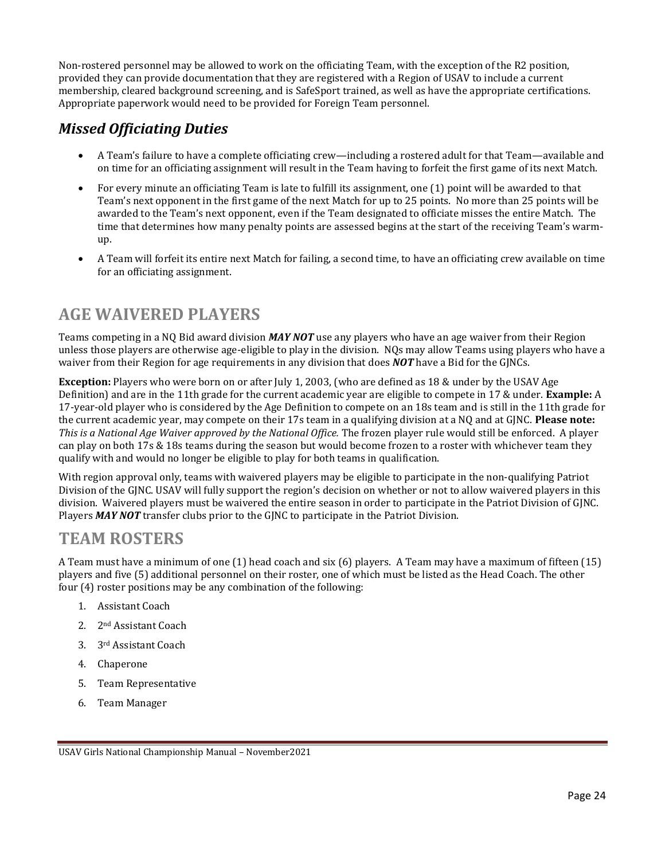Non-rostered personnel may be allowed to work on the officiating Team, with the exception of the R2 position, provided they can provide documentation that they are registered with a Region of USAV to include a current membership, cleared background screening, and is SafeSport trained, as well as have the appropriate certifications. Appropriate paperwork would need to be provided for Foreign Team personnel.

#### <span id="page-28-0"></span>*Missed Officiating Duties*

- A Team's failure to have a complete officiating crew—including a rostered adult for that Team—available and on time for an officiating assignment will result in the Team having to forfeit the first game of its next Match.
- For every minute an officiating Team is late to fulfill its assignment, one (1) point will be awarded to that Team's next opponent in the first game of the next Match for up to 25 points. No more than 25 points will be awarded to the Team's next opponent, even if the Team designated to officiate misses the entire Match. The time that determines how many penalty points are assessed begins at the start of the receiving Team's warmup.
- A Team will forfeit its entire next Match for failing, a second time, to have an officiating crew available on time for an officiating assignment.

# <span id="page-28-1"></span>**AGE WAIVERED PLAYERS**

Teams competing in a NQ Bid award division *MAY NOT* use any players who have an age waiver from their Region unless those players are otherwise age-eligible to play in the division. NQs may allow Teams using players who have a waiver from their Region for age requirements in any division that does *NOT* have a Bid for the GJNCs.

**Exception:** Players who were born on or after July 1, 2003, (who are defined as 18 & under by the USAV Age Definition) and are in the 11th grade for the current academic year are eligible to compete in 17 & under. **Example:** A 17-year-old player who is considered by the Age Definition to compete on an 18s team and is still in the 11th grade for the current academic year, may compete on their 17s team in a qualifying division at a NQ and at GJNC. **Please note:** *This is a National Age Waiver approved by the National Office.* The frozen player rule would still be enforced. A player can play on both 17s & 18s teams during the season but would become frozen to a roster with whichever team they qualify with and would no longer be eligible to play for both teams in qualification.

<span id="page-28-3"></span>With region approval only, teams with waivered players may be eligible to participate in the non-qualifying Patriot Division of the GJNC. USAV will fully support the region's decision on whether or not to allow waivered players in this division. Waivered players must be waivered the entire season in order to participate in the Patriot Division of GJNC. Players *MAY NOT* transfer clubs prior to the GJNC to participate in the Patriot Division.

#### <span id="page-28-2"></span>**TEAM ROSTERS**

A Team must have a minimum of one (1) head coach and six (6) players. A Team may have a maximum of fifteen (15) players and five (5) additional personnel on their roster, one of which must be listed as the Head Coach. The other four (4) roster positions may be any combination of the following:

- 1. Assistant Coach
- 2. 2nd Assistant Coach
- 3. 3rd Assistant Coach
- 4. Chaperone
- 5. Team Representative
- 6. Team Manager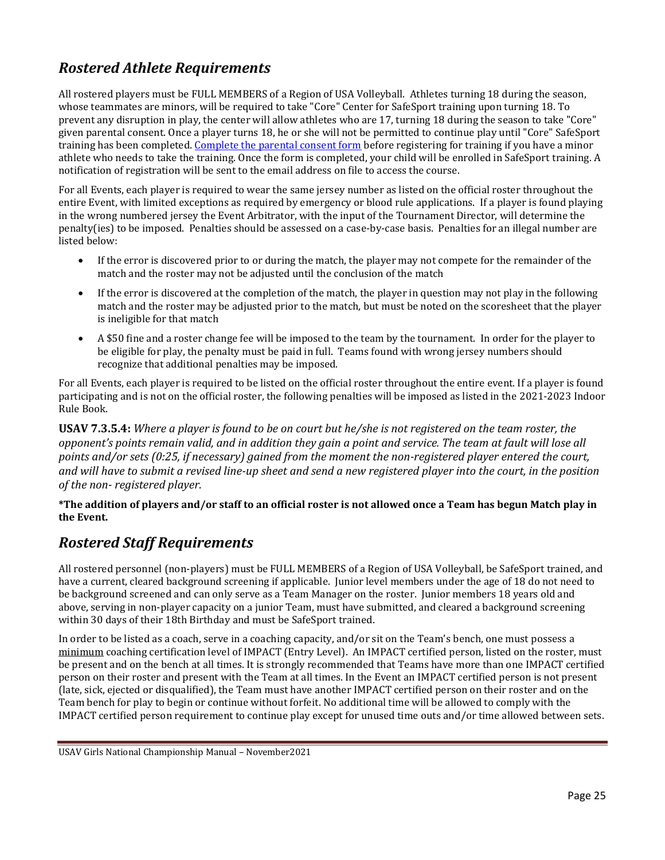### <span id="page-29-0"></span>*Rostered Athlete Requirements*

All rostered players must be FULL MEMBERS of a Region of USA Volleyball. Athletes turning 18 during the season, whose teammates are minors, will be required to take "Core" Center for SafeSport training upon turning 18. To prevent any disruption in play, the center will allow athletes who are 17, turning 18 during the season to take "Core" given parental consent. Once a player turns 18, he or she will not be permitted to continue play until "Core" SafeSport training has been completed[. Complete the parental consent form](https://fs28.formsite.com/USAVolleyball/SSConsentform/index.html) before registering for training if you have a minor athlete who needs to take the training. Once the form is completed, your child will be enrolled in SafeSport training. A notification of registration will be sent to the email address on file to access the course.

For all Events, each player is required to wear the same jersey number as listed on the official roster throughout the entire Event, with limited exceptions as required by emergency or blood rule applications. If a player is found playing in the wrong numbered jersey the Event Arbitrator, with the input of the Tournament Director, will determine the penalty(ies) to be imposed. Penalties should be assessed on a case-by-case basis. Penalties for an illegal number are listed below:

- If the error is discovered prior to or during the match, the player may not compete for the remainder of the match and the roster may not be adjusted until the conclusion of the match
- If the error is discovered at the completion of the match, the player in question may not play in the following match and the roster may be adjusted prior to the match, but must be noted on the scoresheet that the player is ineligible for that match
- A \$50 fine and a roster change fee will be imposed to the team by the tournament. In order for the player to be eligible for play, the penalty must be paid in full. Teams found with wrong jersey numbers should recognize that additional penalties may be imposed.

For all Events, each player is required to be listed on the official roster throughout the entire event. If a player is found participating and is not on the official roster, the following penalties will be imposed as listed in the 2021-2023 Indoor Rule Book.

**USAV 7.3.5.4:** *Where a player is found to be on court but he/she is not registered on the team roster, the opponent's points remain valid, and in addition they gain a point and service. The team at fault will lose all points and/or sets (0:25, if necessary) gained from the moment the non-registered player entered the court, and will have to submit a revised line-up sheet and send a new registered player into the court, in the position of the non- registered player.*

**\*The addition of players and/or staff to an official roster is not allowed once a Team has begun Match play in the Event.**

#### <span id="page-29-1"></span>*Rostered Staff Requirements*

All rostered personnel (non-players) must be FULL MEMBERS of a Region of USA Volleyball, be SafeSport trained, and have a current, cleared background screening if applicable. Junior level members under the age of 18 do not need to be background screened and can only serve as a Team Manager on the roster. Junior members 18 years old and above, serving in non-player capacity on a junior Team, must have submitted, and cleared a background screening within 30 days of their 18th Birthday and must be SafeSport trained.

In order to be listed as a coach, serve in a coaching capacity, and/or sit on the Team's bench, one must possess a minimum coaching certification level of IMPACT (Entry Level). An IMPACT certified person, listed on the roster, must be present and on the bench at all times. It is strongly recommended that Teams have more than one IMPACT certified person on their roster and present with the Team at all times. In the Event an IMPACT certified person is not present (late, sick, ejected or disqualified), the Team must have another IMPACT certified person on their roster and on the Team bench for play to begin or continue without forfeit. No additional time will be allowed to comply with the IMPACT certified person requirement to continue play except for unused time outs and/or time allowed between sets.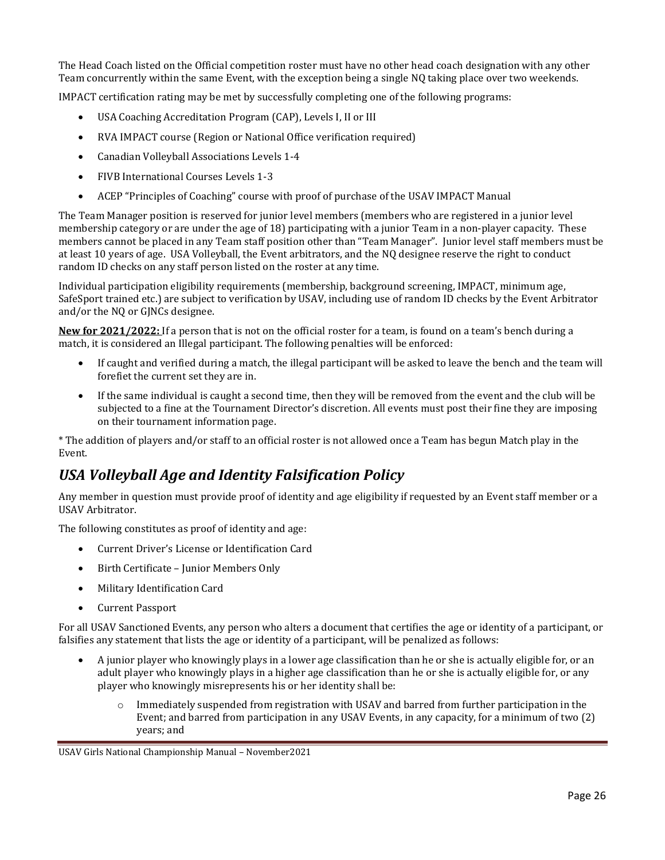The Head Coach listed on the Official competition roster must have no other head coach designation with any other Team concurrently within the same Event, with the exception being a single NQ taking place over two weekends.

IMPACT certification rating may be met by successfully completing one of the following programs:

- USA Coaching Accreditation Program (CAP), Levels I, II or III
- RVA IMPACT course (Region or National Office verification required)
- Canadian Volleyball Associations Levels 1-4
- FIVB International Courses Levels 1-3
- ACEP "Principles of Coaching" course with proof of purchase of the USAV IMPACT Manual

The Team Manager position is reserved for junior level members (members who are registered in a junior level membership category or are under the age of 18) participating with a junior Team in a non-player capacity. These members cannot be placed in any Team staff position other than "Team Manager". Junior level staff members must be at least 10 years of age. USA Volleyball, the Event arbitrators, and the NQ designee reserve the right to conduct random ID checks on any staff person listed on the roster at any time.

Individual participation eligibility requirements (membership, background screening, IMPACT, minimum age, SafeSport trained etc.) are subject to verification by USAV, including use of random ID checks by the Event Arbitrator and/or the NQ or GJNCs designee.

**New for 2021/2022:** If a person that is not on the official roster for a team, is found on a team's bench during a match, it is considered an Illegal participant. The following penalties will be enforced:

- If caught and verified during a match, the illegal participant will be asked to leave the bench and the team will forefiet the current set they are in.
- If the same individual is caught a second time, then they will be removed from the event and the club will be subjected to a fine at the Tournament Director's discretion. All events must post their fine they are imposing on their tournament information page.

\* The addition of players and/or staff to an official roster is not allowed once a Team has begun Match play in the Event.

#### <span id="page-30-0"></span>*USA Volleyball Age and Identity Falsification Policy*

Any member in question must provide proof of identity and age eligibility if requested by an Event staff member or a USAV Arbitrator.

The following constitutes as proof of identity and age:

- Current Driver's License or Identification Card
- Birth Certificate Junior Members Only
- Military Identification Card
- Current Passport

For all USAV Sanctioned Events, any person who alters a document that certifies the age or identity of a participant, or falsifies any statement that lists the age or identity of a participant, will be penalized as follows:

- A junior player who knowingly plays in a lower age classification than he or she is actually eligible for, or an adult player who knowingly plays in a higher age classification than he or she is actually eligible for, or any player who knowingly misrepresents his or her identity shall be:
	- $\circ$  Immediately suspended from registration with USAV and barred from further participation in the Event; and barred from participation in any USAV Events, in any capacity, for a minimum of two (2) years; and

USAV Girls National Championship Manual – November2021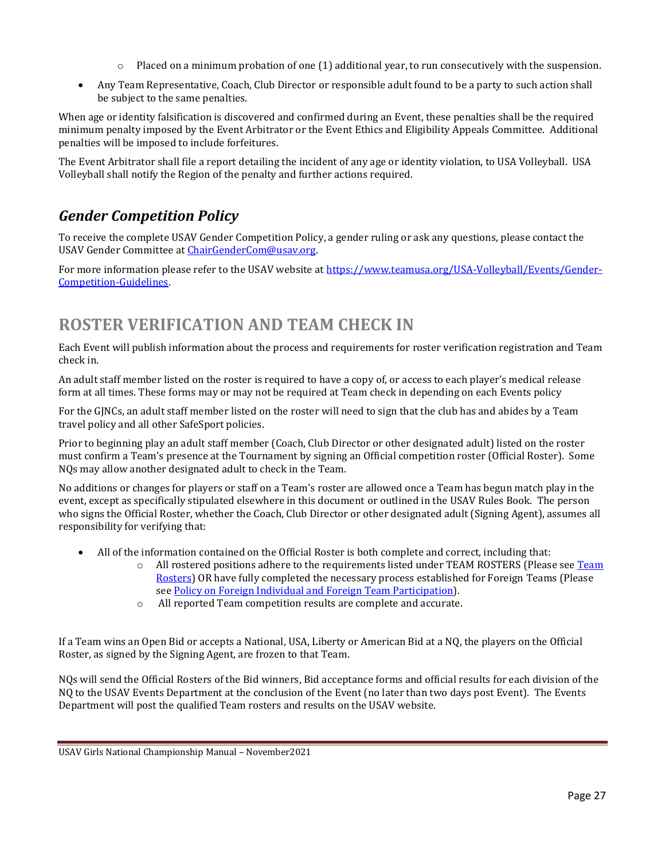- $\circ$  Placed on a minimum probation of one (1) additional year, to run consecutively with the suspension.
- Any Team Representative, Coach, Club Director or responsible adult found to be a party to such action shall be subject to the same penalties.

When age or identity falsification is discovered and confirmed during an Event, these penalties shall be the required minimum penalty imposed by the Event Arbitrator or the Event Ethics and Eligibility Appeals Committee. Additional penalties will be imposed to include forfeitures.

The Event Arbitrator shall file a report detailing the incident of any age or identity violation, to USA Volleyball. USA Volleyball shall notify the Region of the penalty and further actions required.

#### <span id="page-31-0"></span>*Gender Competition Policy*

To receive the complete USAV Gender Competition Policy, a gender ruling or ask any questions, please contact the USAV Gender Committee at [ChairGenderCom@usav.org.](mailto:ChairGenderCom@usav.org)

For more information please refer to the USAV website a[t https://www.teamusa.org/USA-Volleyball/Events/Gender-](https://www.teamusa.org/USA-Volleyball/Events/Gender-Competition-Guidelines)[Competition-Guidelines.](https://www.teamusa.org/USA-Volleyball/Events/Gender-Competition-Guidelines) 

## <span id="page-31-1"></span>**ROSTER VERIFICATION AND TEAM CHECK IN**

Each Event will publish information about the process and requirements for roster verification registration and Team check in.

An adult staff member listed on the roster is required to have a copy of, or access to each player's medical release form at all times. These forms may or may not be required at Team check in depending on each Events policy

For the GJNCs, an adult staff member listed on the roster will need to sign that the club has and abides by a Team travel policy and all other SafeSport policies.

Prior to beginning play an adult staff member (Coach, Club Director or other designated adult) listed on the roster must confirm a Team's presence at the Tournament by signing an Official competition roster (Official Roster). Some NQs may allow another designated adult to check in the Team.

No additions or changes for players or staff on a Team's roster are allowed once a Team has begun match play in the event, except as specifically stipulated elsewhere in this document or outlined in the USAV Rules Book. The person who signs the Official Roster, whether the Coach, Club Director or other designated adult (Signing Agent), assumes all responsibility for verifying that:

- All of the information contained on the Official Roster is both complete and correct, including that:
	- $\circ$  All rostered positions adhere to the requirements listed under TEAM ROSTERS (Please see [Team](#page-28-3) [Rosters\)](#page-28-3) OR have fully completed the necessary process established for Foreign Teams (Please se[e Policy on Foreign Individual and Foreign Team](#page-33-0) Participation).
	- o All reported Team competition results are complete and accurate.

If a Team wins an Open Bid or accepts a National, USA, Liberty or American Bid at a NQ, the players on the Official Roster, as signed by the Signing Agent, are frozen to that Team.

NQs will send the Official Rosters of the Bid winners, Bid acceptance forms and official results for each division of the NQ to the USAV Events Department at the conclusion of the Event (no later than two days post Event). The Events Department will post the qualified Team rosters and results on the USAV website.

USAV Girls National Championship Manual – November2021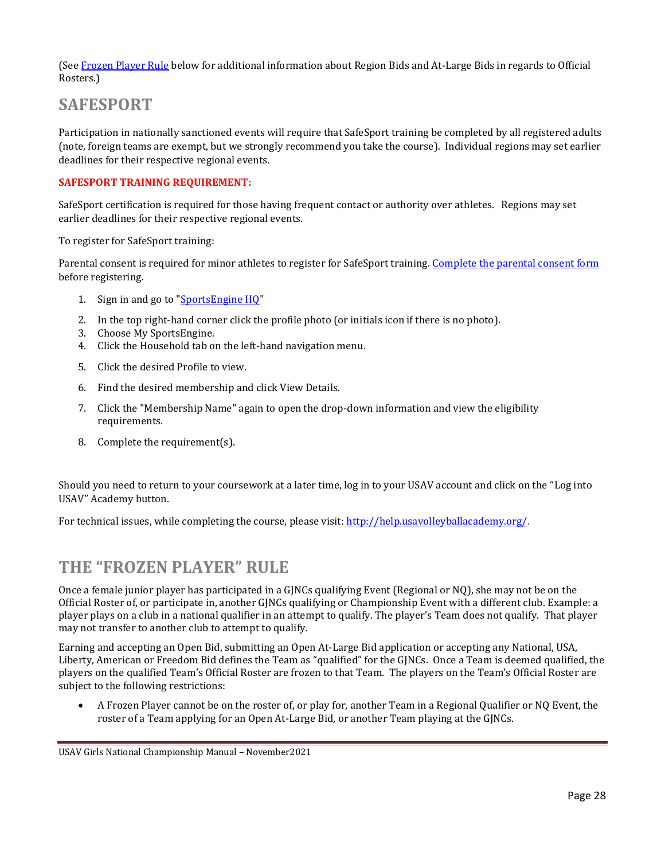(Se[e Frozen Player Rule](file://///files.usav.org/share$/Event%20Dept/Events/Girls%20Qualifiers/Manuals/GJNC%20Championship%20Manual/2018/Frozen_Player%23_The_) below for additional information about Region Bids and At-Large Bids in regards to Official Rosters.)

### <span id="page-32-0"></span>**SAFESPORT**

Participation in nationally sanctioned events will require that SafeSport training be completed by all registered adults (note, foreign teams are exempt, but we strongly recommend you take the course). Individual regions may set earlier deadlines for their respective regional events.

#### **SAFESPORT TRAINING REQUIREMENT:**

SafeSport certification is required for those having frequent contact or authority over athletes. Regions may set earlier deadlines for their respective regional events.

To register for SafeSport training:

Parental consent is required for minor athletes to register for SafeSport training[. Complete the parental consent form](https://fs28.formsite.com/USAVolleyball/SSConsentform/index.html) before registering.

- 1. Sign in and go to "**SportsEngine HQ"**
- 2. In the top right-hand corner click the profile photo (or initials icon if there is no photo).
- 3. Choose My SportsEngine.
- 4. Click the Household tab on the left-hand navigation menu.
- 5. Click the desired Profile to view.
- 6. Find the desired membership and click View Details.
- 7. Click the "Membership Name" again to open the drop-down information and view the eligibility requirements.
- 8. Complete the requirement(s).

Should you need to return to your coursework at a later time, log in to your USAV account and click on the "Log into USAV" Academy button.

For technical issues, while completing the course, please visit: [http://help.usavolleyballacademy.org/.](http://help.usavolleyballacademy.org/)

#### <span id="page-32-1"></span>**THE "FROZEN PLAYER" RULE**

Once a female junior player has participated in a GJNCs qualifying Event (Regional or NQ), she may not be on the Official Roster of, or participate in, another GJNCs qualifying or Championship Event with a different club. Example: a player plays on a club in a national qualifier in an attempt to qualify. The player's Team does not qualify. That player may not transfer to another club to attempt to qualify.

Earning and accepting an Open Bid, submitting an Open At-Large Bid application or accepting any National, USA, Liberty, American or Freedom Bid defines the Team as "qualified" for the GJNCs. Once a Team is deemed qualified, the players on the qualified Team's Official Roster are frozen to that Team. The players on the Team's Official Roster are subject to the following restrictions:

• A Frozen Player cannot be on the roster of, or play for, another Team in a Regional Qualifier or NQ Event, the roster of a Team applying for an Open At-Large Bid, or another Team playing at the GJNCs.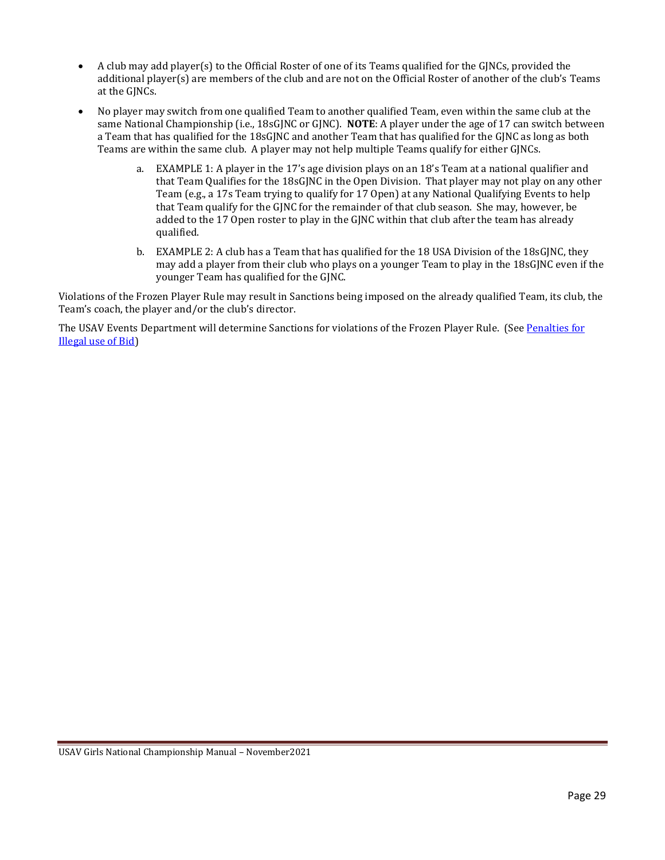- A club may add player(s) to the Official Roster of one of its Teams qualified for the GJNCs, provided the additional player(s) are members of the club and are not on the Official Roster of another of the club's Teams at the GJNCs.
- No player may switch from one qualified Team to another qualified Team, even within the same club at the same National Championship (i.e., 18sGJNC or GJNC). **NOTE**: A player under the age of 17 can switch between a Team that has qualified for the 18sGJNC and another Team that has qualified for the GJNC as long as both Teams are within the same club. A player may not help multiple Teams qualify for either GJNCs.
	- a. EXAMPLE 1: A player in the 17's age division plays on an 18's Team at a national qualifier and that Team Qualifies for the 18sGJNC in the Open Division. That player may not play on any other Team (e.g., a 17s Team trying to qualify for 17 Open) at any National Qualifying Events to help that Team qualify for the GJNC for the remainder of that club season. She may, however, be added to the 17 Open roster to play in the GJNC within that club after the team has already qualified.
	- b. EXAMPLE 2: A club has a Team that has qualified for the 18 USA Division of the 18sGJNC, they may add a player from their club who plays on a younger Team to play in the 18sGJNC even if the younger Team has qualified for the GJNC.

Violations of the Frozen Player Rule may result in Sanctions being imposed on the already qualified Team, its club, the Team's coach, the player and/or the club's director.

<span id="page-33-0"></span>The USAV Events Department will determine Sanctions for violations of the Frozen Player Rule. (See [Penalties](#page-18-1) for [Illegal use of Bid\)](#page-18-1)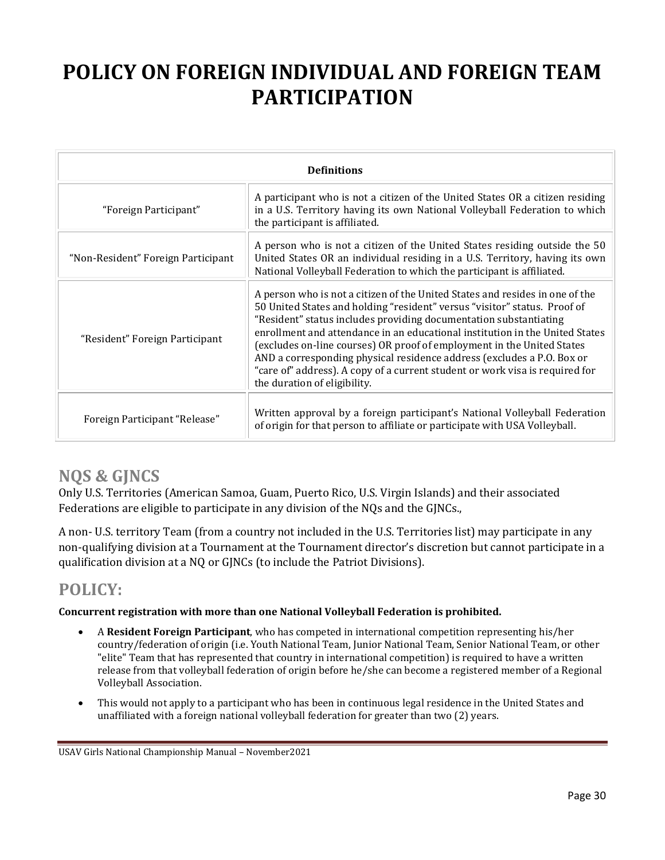# <span id="page-34-0"></span>**POLICY ON FOREIGN INDIVIDUAL AND FOREIGN TEAM PARTICIPATION**

| <b>Definitions</b>                 |                                                                                                                                                                                                                                                                                                                                                                                                                                                                                                                                                                                    |  |  |  |
|------------------------------------|------------------------------------------------------------------------------------------------------------------------------------------------------------------------------------------------------------------------------------------------------------------------------------------------------------------------------------------------------------------------------------------------------------------------------------------------------------------------------------------------------------------------------------------------------------------------------------|--|--|--|
| "Foreign Participant"              | A participant who is not a citizen of the United States OR a citizen residing<br>in a U.S. Territory having its own National Volleyball Federation to which<br>the participant is affiliated.                                                                                                                                                                                                                                                                                                                                                                                      |  |  |  |
| "Non-Resident" Foreign Participant | A person who is not a citizen of the United States residing outside the 50<br>United States OR an individual residing in a U.S. Territory, having its own<br>National Volleyball Federation to which the participant is affiliated.                                                                                                                                                                                                                                                                                                                                                |  |  |  |
| "Resident" Foreign Participant     | A person who is not a citizen of the United States and resides in one of the<br>50 United States and holding "resident" versus "visitor" status. Proof of<br>"Resident" status includes providing documentation substantiating<br>enrollment and attendance in an educational institution in the United States<br>(excludes on-line courses) OR proof of employment in the United States<br>AND a corresponding physical residence address (excludes a P.O. Box or<br>"care of" address). A copy of a current student or work visa is required for<br>the duration of eligibility. |  |  |  |
| Foreign Participant "Release"      | Written approval by a foreign participant's National Volleyball Federation<br>of origin for that person to affiliate or participate with USA Volleyball.                                                                                                                                                                                                                                                                                                                                                                                                                           |  |  |  |

# <span id="page-34-1"></span>**NQS & GJNCS**

Only U.S. Territories (American Samoa, Guam, Puerto Rico, U.S. Virgin Islands) and their associated Federations are eligible to participate in any division of the NQs and the GJNCs.,

A non- U.S. territory Team (from a country not included in the U.S. Territories list) may participate in any non-qualifying division at a Tournament at the Tournament director's discretion but cannot participate in a qualification division at a NQ or GJNCs (to include the Patriot Divisions).

# <span id="page-34-2"></span>**POLICY:**

#### **Concurrent registration with more than one National Volleyball Federation is prohibited.**

- A **Resident Foreign Participant**, who has competed in international competition representing his/her country/federation of origin (i.e. Youth National Team, Junior National Team, Senior National Team, or other "elite" Team that has represented that country in international competition) is required to have a written release from that volleyball federation of origin before he/she can become a registered member of a Regional Volleyball Association.
- This would not apply to a participant who has been in continuous legal residence in the United States and unaffiliated with a foreign national volleyball federation for greater than two (2) years.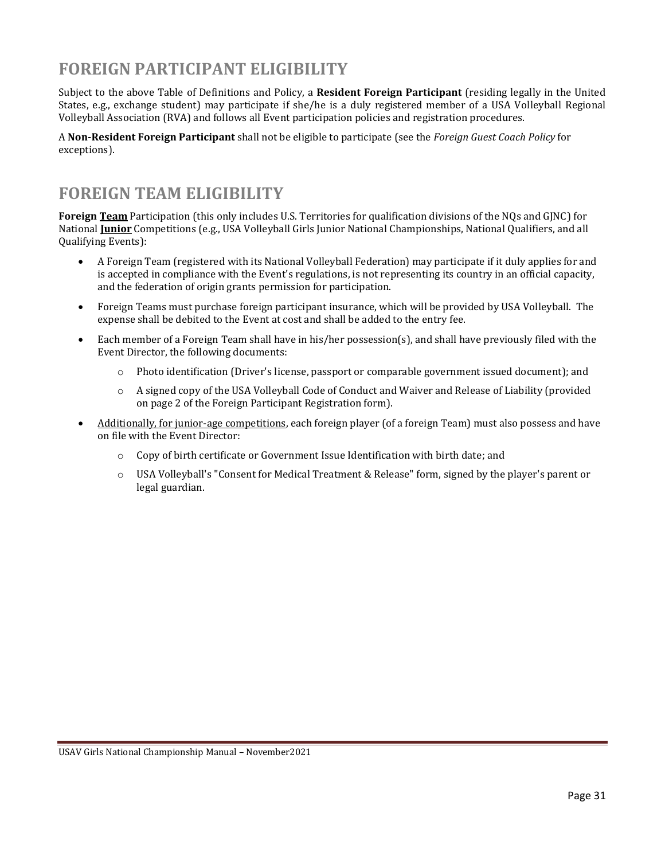## <span id="page-35-0"></span>**FOREIGN PARTICIPANT ELIGIBILITY**

Subject to the above Table of Definitions and Policy, a **Resident Foreign Participant** (residing legally in the United States, e.g., exchange student) may participate if she/he is a duly registered member of a USA Volleyball Regional Volleyball Association (RVA) and follows all Event participation policies and registration procedures.

A **Non-Resident Foreign Participant** shall not be eligible to participate (see the *Foreign Guest Coach Policy* for exceptions).

## <span id="page-35-1"></span>**FOREIGN TEAM ELIGIBILITY**

**Foreign Team** Participation (this only includes U.S. Territories for qualification divisions of the NQs and GJNC) for National **Junior** Competitions (e.g., USA Volleyball Girls Junior National Championships, National Qualifiers, and all Qualifying Events):

- A Foreign Team (registered with its National Volleyball Federation) may participate if it duly applies for and is accepted in compliance with the Event's regulations, is not representing its country in an official capacity, and the federation of origin grants permission for participation.
- Foreign Teams must purchase foreign participant insurance, which will be provided by USA Volleyball. The expense shall be debited to the Event at cost and shall be added to the entry fee.
- Each member of a Foreign Team shall have in his/her possession(s), and shall have previously filed with the Event Director, the following documents:
	- o Photo identification (Driver's license, passport or comparable government issued document); and
	- o A signed copy of the USA Volleyball Code of Conduct and Waiver and Release of Liability (provided on page 2 of the Foreign Participant Registration form).
- Additionally, for junior-age competitions, each foreign player (of a foreign Team) must also possess and have on file with the Event Director:
	- $\circ$  Copy of birth certificate or Government Issue Identification with birth date; and
	- o USA Volleyball's "Consent for Medical Treatment & Release" form, signed by the player's parent or legal guardian.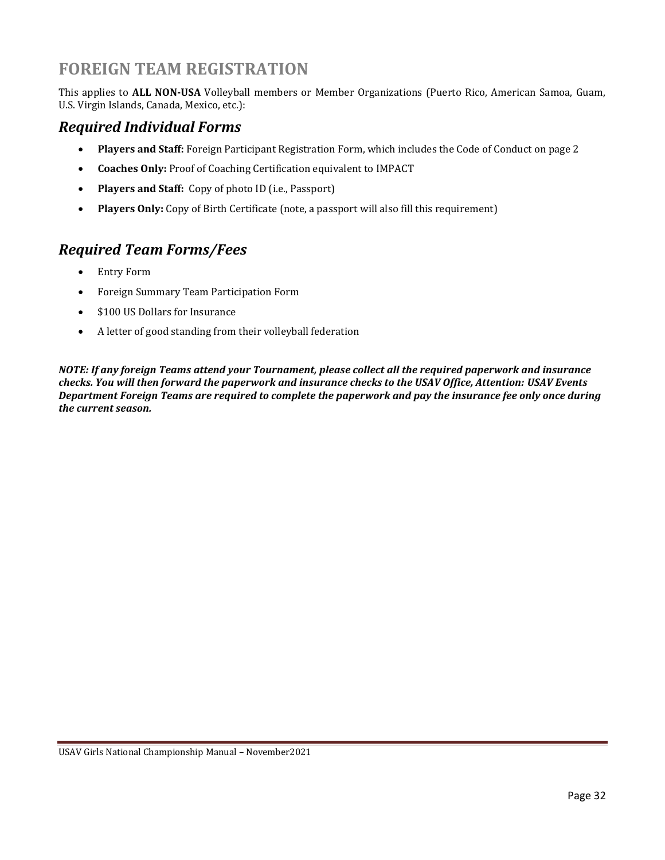### **FOREIGN TEAM REGISTRATION**

This applies to **ALL NON-USA** Volleyball members or Member Organizations (Puerto Rico, American Samoa, Guam, U.S. Virgin Islands, Canada, Mexico, etc.):

#### <span id="page-36-0"></span>*Required Individual Forms*

- **Players and Staff:** Foreign Participant Registration Form, which includes the Code of Conduct on page 2
- **Coaches Only:** Proof of Coaching Certification equivalent to IMPACT
- **Players and Staff:** Copy of photo ID (i.e., Passport)
- **Players Only:** Copy of Birth Certificate (note, a passport will also fill this requirement)

#### <span id="page-36-1"></span>*Required Team Forms/Fees*

- Entry Form
- Foreign Summary Team Participation Form
- \$100 US Dollars for Insurance
- A letter of good standing from their volleyball federation

*NOTE: If any foreign Teams attend your Tournament, please collect all the required paperwork and insurance checks. You will then forward the paperwork and insurance checks to the USAV Office, Attention: USAV Events Department Foreign Teams are required to complete the paperwork and pay the insurance fee only once during the current season.*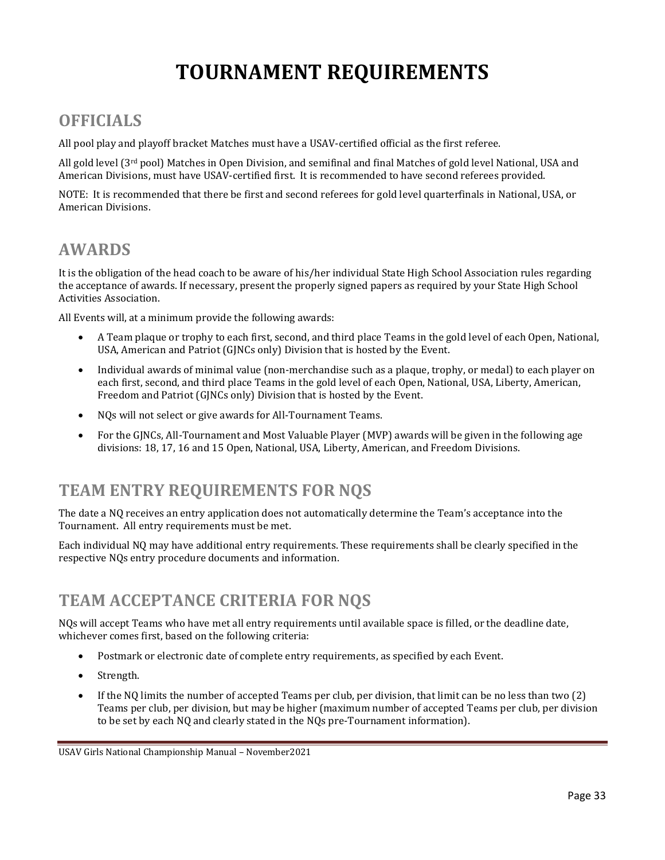# **TOURNAMENT REQUIREMENTS**

# <span id="page-37-1"></span><span id="page-37-0"></span>**OFFICIALS**

All pool play and playoff bracket Matches must have a USAV-certified official as the first referee.

All gold level ( $3^{rd}$  pool) Matches in Open Division, and semifinal and final Matches of gold level National, USA and American Divisions, must have USAV-certified first. It is recommended to have second referees provided.

NOTE: It is recommended that there be first and second referees for gold level quarterfinals in National, USA, or American Divisions.

#### <span id="page-37-2"></span>**AWARDS**

It is the obligation of the head coach to be aware of his/her individual State High School Association rules regarding the acceptance of awards. If necessary, present the properly signed papers as required by your State High School Activities Association.

All Events will, at a minimum provide the following awards:

- A Team plaque or trophy to each first, second, and third place Teams in the gold level of each Open, National, USA, American and Patriot (GJNCs only) Division that is hosted by the Event.
- Individual awards of minimal value (non-merchandise such as a plaque, trophy, or medal) to each player on each first, second, and third place Teams in the gold level of each Open, National, USA, Liberty, American, Freedom and Patriot (GJNCs only) Division that is hosted by the Event.
- NQs will not select or give awards for All-Tournament Teams.
- For the GJNCs, All-Tournament and Most Valuable Player (MVP) awards will be given in the following age divisions: 18, 17, 16 and 15 Open, National, USA, Liberty, American, and Freedom Divisions.

### <span id="page-37-3"></span>**TEAM ENTRY REQUIREMENTS FOR NQS**

The date a NQ receives an entry application does not automatically determine the Team's acceptance into the Tournament. All entry requirements must be met.

Each individual NQ may have additional entry requirements. These requirements shall be clearly specified in the respective NQs entry procedure documents and information.

### <span id="page-37-4"></span>**TEAM ACCEPTANCE CRITERIA FOR NQS**

NQs will accept Teams who have met all entry requirements until available space is filled, or the deadline date, whichever comes first, based on the following criteria:

- Postmark or electronic date of complete entry requirements, as specified by each Event.
- Strength.
- If the NQ limits the number of accepted Teams per club, per division, that limit can be no less than two (2) Teams per club, per division, but may be higher (maximum number of accepted Teams per club, per division to be set by each NQ and clearly stated in the NQs pre-Tournament information).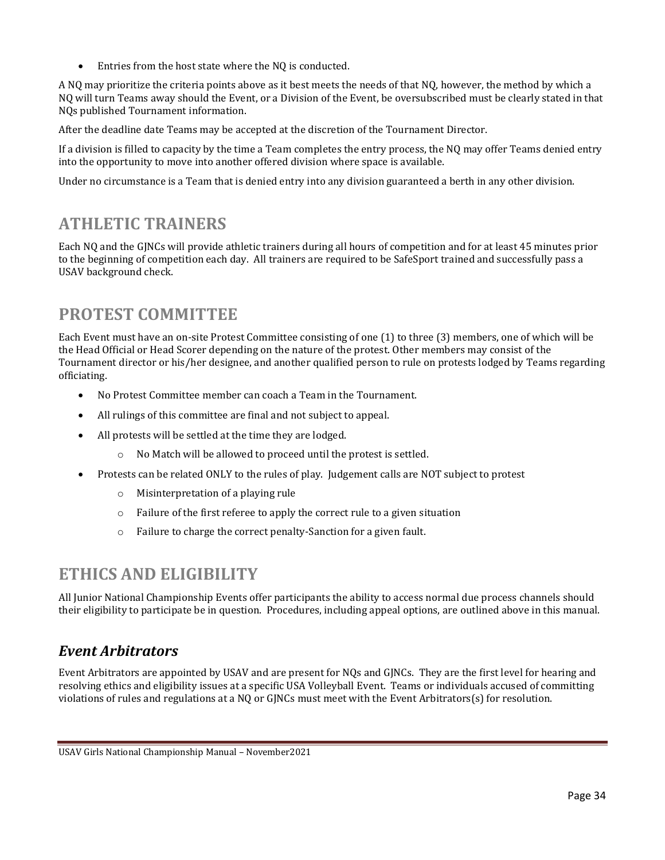• Entries from the host state where the NQ is conducted.

A NQ may prioritize the criteria points above as it best meets the needs of that NQ, however, the method by which a NQ will turn Teams away should the Event, or a Division of the Event, be oversubscribed must be clearly stated in that NQs published Tournament information.

After the deadline date Teams may be accepted at the discretion of the Tournament Director.

If a division is filled to capacity by the time a Team completes the entry process, the NQ may offer Teams denied entry into the opportunity to move into another offered division where space is available.

Under no circumstance is a Team that is denied entry into any division guaranteed a berth in any other division.

## <span id="page-38-0"></span>**ATHLETIC TRAINERS**

Each NQ and the GJNCs will provide athletic trainers during all hours of competition and for at least 45 minutes prior to the beginning of competition each day. All trainers are required to be SafeSport trained and successfully pass a USAV background check.

# <span id="page-38-1"></span>**PROTEST COMMITTEE**

Each Event must have an on-site Protest Committee consisting of one (1) to three (3) members, one of which will be the Head Official or Head Scorer depending on the nature of the protest. Other members may consist of the Tournament director or his/her designee, and another qualified person to rule on protests lodged by Teams regarding officiating.

- No Protest Committee member can coach a Team in the Tournament.
- All rulings of this committee are final and not subject to appeal.
- All protests will be settled at the time they are lodged.
	- o No Match will be allowed to proceed until the protest is settled.
- Protests can be related ONLY to the rules of play. Judgement calls are NOT subject to protest
	- o Misinterpretation of a playing rule
	- o Failure of the first referee to apply the correct rule to a given situation
	- o Failure to charge the correct penalty-Sanction for a given fault.

### <span id="page-38-2"></span>**ETHICS AND ELIGIBILITY**

All Junior National Championship Events offer participants the ability to access normal due process channels should their eligibility to participate be in question. Procedures, including appeal options, are outlined above in this manual.

#### <span id="page-38-3"></span>*Event Arbitrators*

Event Arbitrators are appointed by USAV and are present for NQs and GJNCs. They are the first level for hearing and resolving ethics and eligibility issues at a specific USA Volleyball Event. Teams or individuals accused of committing violations of rules and regulations at a NQ or GJNCs must meet with the Event Arbitrators(s) for resolution.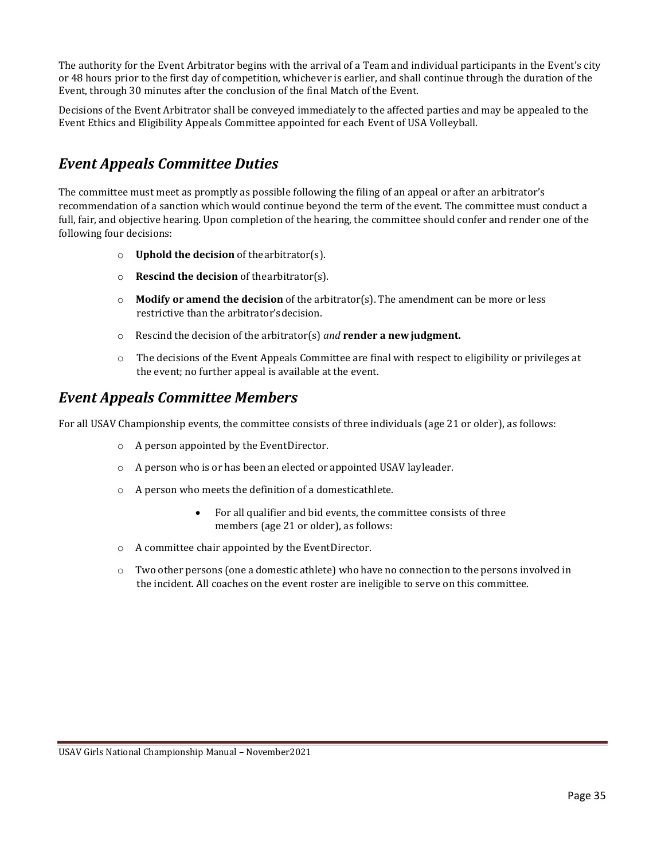The authority for the Event Arbitrator begins with the arrival of a Team and individual participants in the Event's city or 48 hours prior to the first day of competition, whichever is earlier, and shall continue through the duration of the Event, through 30 minutes after the conclusion of the final Match of the Event.

Decisions of the Event Arbitrator shall be conveyed immediately to the affected parties and may be appealed to the Event Ethics and Eligibility Appeals Committee appointed for each Event of USA Volleyball.

#### <span id="page-39-0"></span>*Event Appeals Committee Duties*

The committee must meet as promptly as possible following the filing of an appeal or after an arbitrator's recommendation of a sanction which would continue beyond the term of the event. The committee must conduct a full, fair, and objective hearing. Upon completion of the hearing, the committee should confer and render one of the following four decisions:

- o **Uphold the decision** of thearbitrator(s).
- o **Rescind the decision** of thearbitrator(s).
- o **Modify or amend the decision** of the arbitrator(s). The amendment can be more or less restrictive than the arbitrator'sdecision.
- o Rescind the decision of the arbitrator(s) *and* **render a newjudgment.**
- o The decisions of the Event Appeals Committee are final with respect to eligibility or privileges at the event; no further appeal is available at the event.

#### *Event Appeals Committee Members*

For all USAV Championship events, the committee consists of three individuals (age 21 or older), as follows:

- o A person appointed by the EventDirector.
- o A person who is or has been an elected or appointed USAV layleader.
- o A person who meets the definition of a domesticathlete.
	- For all qualifier and bid events, the committee consists of three members (age 21 or older), as follows:
- o A committee chair appointed by the EventDirector.
- o Two other persons (one a domestic athlete) who have no connection to the persons involved in the incident. All coaches on the event roster are ineligible to serve on this committee.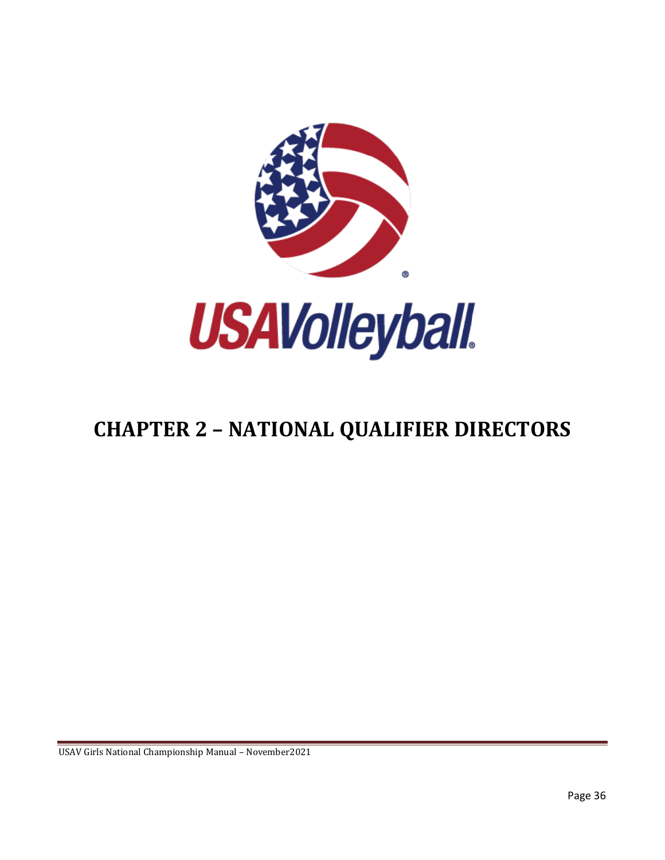

# <span id="page-40-0"></span>**CHAPTER 2 – NATIONAL QUALIFIER DIRECTORS**

USAV Girls National Championship Manual – November2021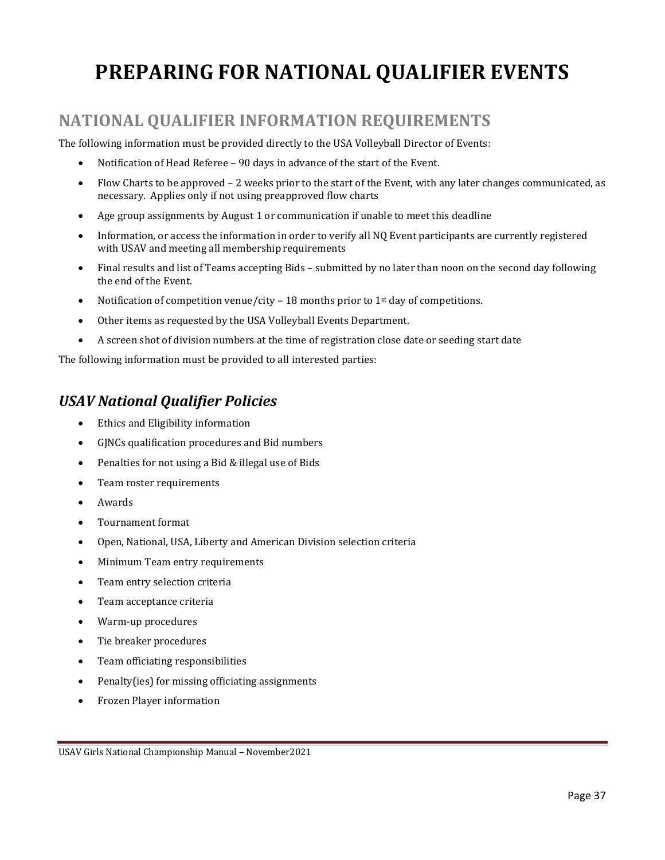# <span id="page-41-0"></span>**PREPARING FOR NATIONAL QUALIFIER EVENTS**

# <span id="page-41-1"></span>**NATIONAL QUALIFIER INFORMATION REQUIREMENTS**

The following information must be provided directly to the USA Volleyball Director of Events:

- Notification of Head Referee 90 days in advance of the start of the Event.
- Flow Charts to be approved 2 weeks prior to the start of the Event, with any later changes communicated, as necessary. Applies only if not using preapproved flow charts
- Age group assignments by August 1 or communication if unable to meet this deadline
- Information, or access the information in order to verify all NQ Event participants are currently registered with USAV and meeting all membership requirements
- Final results and list of Teams accepting Bids submitted by no later than noon on the second day following the end of the Event.
- Notification of competition venue/city 18 months prior to 1<sup>st</sup> day of competitions.
- Other items as requested by the USA Volleyball Events Department.
- A screen shot of division numbers at the time of registration close date or seeding start date

The following information must be provided to all interested parties:

#### <span id="page-41-2"></span>*USAV National Qualifier Policies*

- Ethics and Eligibility information
- GJNCs qualification procedures and Bid numbers
- Penalties for not using a Bid & illegal use of Bids
- Team roster requirements
- Awards
- Tournament format
- Open, National, USA, Liberty and American Division selection criteria
- Minimum Team entry requirements
- Team entry selection criteria
- Team acceptance criteria
- Warm-up procedures
- Tie breaker procedures
- Team officiating responsibilities
- Penalty(ies) for missing officiating assignments
- Frozen Player information

USAV Girls National Championship Manual – November2021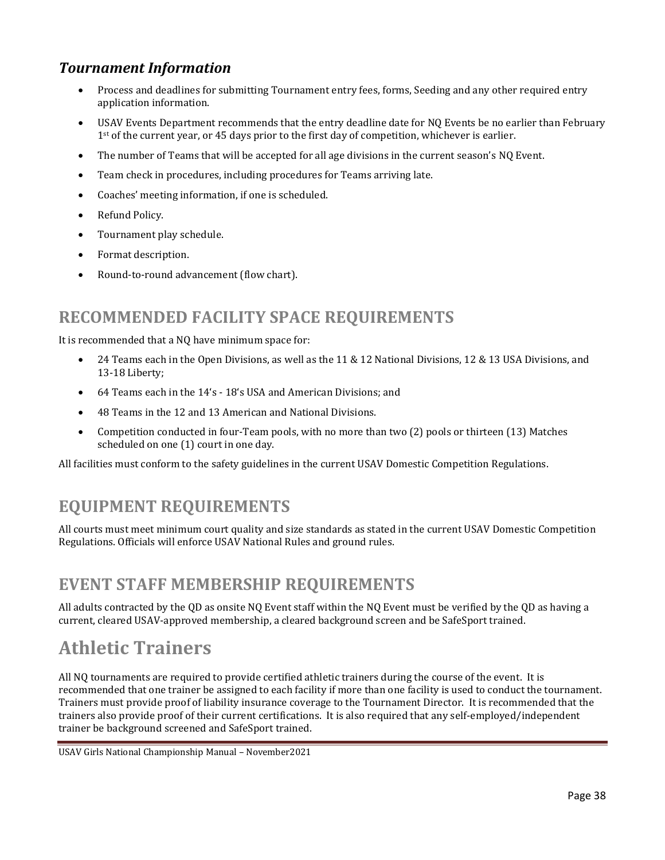#### <span id="page-42-0"></span>*Tournament Information*

- Process and deadlines for submitting Tournament entry fees, forms, Seeding and any other required entry application information.
- USAV Events Department recommends that the entry deadline date for NQ Events be no earlier than February  $1<sup>st</sup>$  of the current year, or 45 days prior to the first day of competition, whichever is earlier.
- The number of Teams that will be accepted for all age divisions in the current season's NQ Event.
- Team check in procedures, including procedures for Teams arriving late.
- Coaches' meeting information, if one is scheduled.
- Refund Policy.
- Tournament play schedule.
- Format description.
- Round-to-round advancement (flow chart).

#### <span id="page-42-1"></span>**RECOMMENDED FACILITY SPACE REQUIREMENTS**

It is recommended that a NQ have minimum space for:

- 24 Teams each in the Open Divisions, as well as the 11 & 12 National Divisions, 12 & 13 USA Divisions, and 13-18 Liberty;
- 64 Teams each in the 14's 18's USA and American Divisions; and
- 48 Teams in the 12 and 13 American and National Divisions.
- Competition conducted in four-Team pools, with no more than two (2) pools or thirteen (13) Matches scheduled on one (1) court in one day.

All facilities must conform to the safety guidelines in the current USAV Domestic Competition Regulations.

# <span id="page-42-2"></span>**EQUIPMENT REQUIREMENTS**

All courts must meet minimum court quality and size standards as stated in the current USAV Domestic Competition Regulations. Officials will enforce USAV National Rules and ground rules.

#### <span id="page-42-3"></span>**EVENT STAFF MEMBERSHIP REQUIREMENTS**

All adults contracted by the QD as onsite NQ Event staff within the NQ Event must be verified by the QD as having a current, cleared USAV-approved membership, a cleared background screen and be SafeSport trained.

# <span id="page-42-4"></span>**Athletic Trainers**

All NQ tournaments are required to provide certified athletic trainers during the course of the event. It is recommended that one trainer be assigned to each facility if more than one facility is used to conduct the tournament. Trainers must provide proof of liability insurance coverage to the Tournament Director. It is recommended that the trainers also provide proof of their current certifications. It is also required that any self-employed/independent trainer be background screened and SafeSport trained.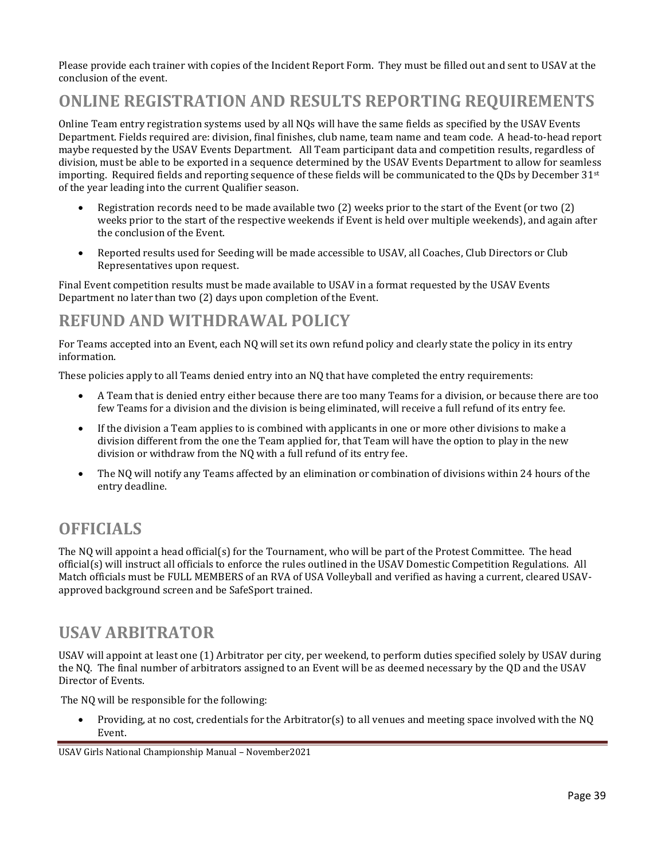Please provide each trainer with copies of the Incident Report Form. They must be filled out and sent to USAV at the conclusion of the event.

## <span id="page-43-0"></span>**ONLINE REGISTRATION AND RESULTS REPORTING REQUIREMENTS**

Online Team entry registration systems used by all NQs will have the same fields as specified by the USAV Events Department. Fields required are: division, final finishes, club name, team name and team code. A head-to-head report maybe requested by the USAV Events Department. All Team participant data and competition results, regardless of division, must be able to be exported in a sequence determined by the USAV Events Department to allow for seamless importing. Required fields and reporting sequence of these fields will be communicated to the ODs by December  $31^{st}$ of the year leading into the current Qualifier season.

- Registration records need to be made available two (2) weeks prior to the start of the Event (or two (2) weeks prior to the start of the respective weekends if Event is held over multiple weekends), and again after the conclusion of the Event.
- Reported results used for Seeding will be made accessible to USAV, all Coaches, Club Directors or Club Representatives upon request.

Final Event competition results must be made available to USAV in a format requested by the USAV Events Department no later than two (2) days upon completion of the Event.

#### <span id="page-43-1"></span>**REFUND AND WITHDRAWAL POLICY**

For Teams accepted into an Event, each NQ will set its own refund policy and clearly state the policy in its entry information.

These policies apply to all Teams denied entry into an NQ that have completed the entry requirements:

- A Team that is denied entry either because there are too many Teams for a division, or because there are too few Teams for a division and the division is being eliminated, will receive a full refund of its entry fee.
- If the division a Team applies to is combined with applicants in one or more other divisions to make a division different from the one the Team applied for, that Team will have the option to play in the new division or withdraw from the NQ with a full refund of its entry fee.
- The NQ will notify any Teams affected by an elimination or combination of divisions within 24 hours of the entry deadline.

# <span id="page-43-2"></span>**OFFICIALS**

The NQ will appoint a head official(s) for the Tournament, who will be part of the Protest Committee. The head official(s) will instruct all officials to enforce the rules outlined in the USAV Domestic Competition Regulations. All Match officials must be FULL MEMBERS of an RVA of USA Volleyball and verified as having a current, cleared USAVapproved background screen and be SafeSport trained.

### <span id="page-43-3"></span>**USAV ARBITRATOR**

USAV will appoint at least one (1) Arbitrator per city, per weekend, to perform duties specified solely by USAV during the NQ. The final number of arbitrators assigned to an Event will be as deemed necessary by the QD and the USAV Director of Events.

The NQ will be responsible for the following:

• Providing, at no cost, credentials for the Arbitrator(s) to all venues and meeting space involved with the NQ Event.

USAV Girls National Championship Manual – November2021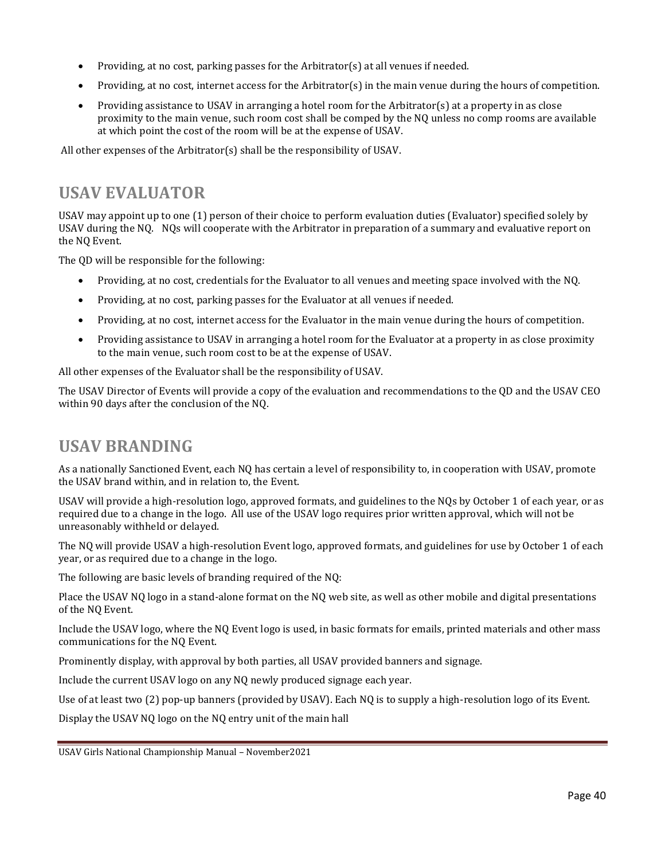- Providing, at no cost, parking passes for the Arbitrator(s) at all venues if needed.
- Providing, at no cost, internet access for the Arbitrator(s) in the main venue during the hours of competition.
- Providing assistance to USAV in arranging a hotel room for the Arbitrator(s) at a property in as close proximity to the main venue, such room cost shall be comped by the NQ unless no comp rooms are available at which point the cost of the room will be at the expense of USAV.

All other expenses of the Arbitrator(s) shall be the responsibility of USAV.

# <span id="page-44-0"></span>**USAV EVALUATOR**

USAV may appoint up to one (1) person of their choice to perform evaluation duties (Evaluator) specified solely by USAV during the NQ. NQs will cooperate with the Arbitrator in preparation of a summary and evaluative report on the NQ Event.

The QD will be responsible for the following:

- Providing, at no cost, credentials for the Evaluator to all venues and meeting space involved with the NQ.
- Providing, at no cost, parking passes for the Evaluator at all venues if needed.
- Providing, at no cost, internet access for the Evaluator in the main venue during the hours of competition.
- Providing assistance to USAV in arranging a hotel room for the Evaluator at a property in as close proximity to the main venue, such room cost to be at the expense of USAV.

All other expenses of the Evaluator shall be the responsibility of USAV.

The USAV Director of Events will provide a copy of the evaluation and recommendations to the QD and the USAV CEO within 90 days after the conclusion of the NQ.

### <span id="page-44-1"></span>**USAV BRANDING**

As a nationally Sanctioned Event, each NQ has certain a level of responsibility to, in cooperation with USAV, promote the USAV brand within, and in relation to, the Event.

USAV will provide a high-resolution logo, approved formats, and guidelines to the NQs by October 1 of each year, or as required due to a change in the logo. All use of the USAV logo requires prior written approval, which will not be unreasonably withheld or delayed.

The NQ will provide USAV a high-resolution Event logo, approved formats, and guidelines for use by October 1 of each year, or as required due to a change in the logo.

The following are basic levels of branding required of the NQ:

Place the USAV NQ logo in a stand-alone format on the NQ web site, as well as other mobile and digital presentations of the NQ Event.

Include the USAV logo, where the NQ Event logo is used, in basic formats for emails, printed materials and other mass communications for the NQ Event.

Prominently display, with approval by both parties, all USAV provided banners and signage.

Include the current USAV logo on any NQ newly produced signage each year.

Use of at least two (2) pop-up banners (provided by USAV). Each NQ is to supply a high-resolution logo of its Event.

Display the USAV NQ logo on the NQ entry unit of the main hall

USAV Girls National Championship Manual – November2021